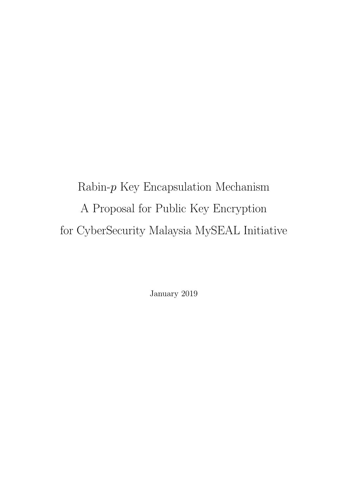Rabin- $p$  Key Encapsulation Mechanism A Proposal for Public Key Encryption for CyberSecurity Malaysia MySEAL Initiative

January 2019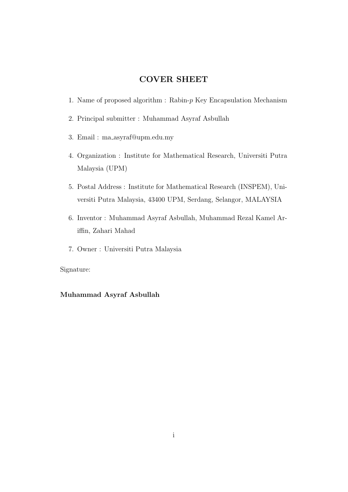#### COVER SHEET

- 1. Name of proposed algorithm : Rabin- $p$  Key Encapsulation Mechanism
- 2. Principal submitter : Muhammad Asyraf Asbullah
- 3. Email : ma asyraf@upm.edu.my
- 4. Organization : Institute for Mathematical Research, Universiti Putra Malaysia (UPM)
- 5. Postal Address : Institute for Mathematical Research (INSPEM), Universiti Putra Malaysia, 43400 UPM, Serdang, Selangor, MALAYSIA
- 6. Inventor : Muhammad Asyraf Asbullah, Muhammad Rezal Kamel Ariffin, Zahari Mahad
- 7. Owner : Universiti Putra Malaysia

Signature:

#### Muhammad Asyraf Asbullah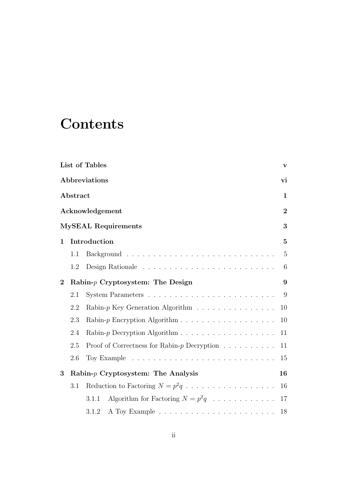## **Contents**

|                |          | List of Tables                                                           | $\mathbf{V}$   |
|----------------|----------|--------------------------------------------------------------------------|----------------|
|                |          | Abbreviations                                                            | vi             |
|                | Abstract |                                                                          | $\mathbf 1$    |
|                |          | Acknowledgement                                                          | $\overline{2}$ |
|                |          | <b>MySEAL Requirements</b>                                               | 3              |
| $\mathbf{1}$   |          | Introduction                                                             | $\bf{5}$       |
|                | 1.1      |                                                                          | $\overline{5}$ |
|                | 1.2      |                                                                          | 6              |
| $\overline{2}$ |          | Rabin- $p$ Cryptosystem: The Design                                      | 9              |
|                | 2.1      |                                                                          | 9              |
|                | 2.2      | Rabin- $p$ Key Generation Algorithm $\ldots \ldots \ldots \ldots \ldots$ | 10             |
|                | 2.3      |                                                                          | 10             |
|                | 2.4      |                                                                          | 11             |
|                | 2.5      | Proof of Correctness for Rabin- $p$ Decryption $\ldots \ldots \ldots$    | 11             |
|                | 2.6      |                                                                          | 15             |
| 3              |          | Rabin- $p$ Cryptosystem: The Analysis                                    | 16             |
|                | 3.1      | Reduction to Factoring $N = p^2q \dots \dots \dots \dots \dots \dots$    | 16             |
|                |          | Algorithm for Factoring $N = p^2q \dots \dots \dots \dots$<br>3.1.1      | 17             |
|                |          | 3.1.2                                                                    | 18             |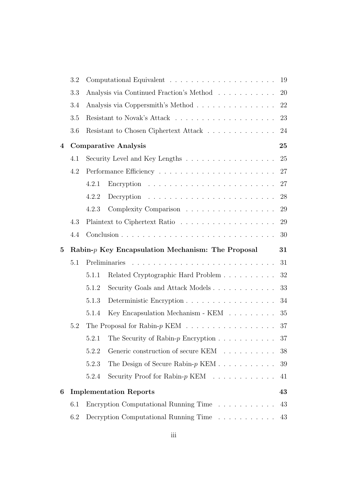|                | 3.2 |       |                                                                     | 19 |
|----------------|-----|-------|---------------------------------------------------------------------|----|
|                | 3.3 |       | Analysis via Continued Fraction's Method                            | 20 |
|                | 3.4 |       | Analysis via Coppersmith's Method                                   | 22 |
|                | 3.5 |       |                                                                     | 23 |
|                | 3.6 |       | Resistant to Chosen Ciphertext Attack $\ldots \ldots \ldots \ldots$ | 24 |
| $\overline{4}$ |     |       | <b>Comparative Analysis</b>                                         | 25 |
|                | 4.1 |       | Security Level and Key Lengths                                      | 25 |
|                | 4.2 |       |                                                                     | 27 |
|                |     | 4.2.1 |                                                                     | 27 |
|                |     | 4.2.2 |                                                                     | 28 |
|                |     | 4.2.3 | Complexity Comparison                                               | 29 |
|                | 4.3 |       |                                                                     | 29 |
|                | 4.4 |       |                                                                     | 30 |
| $\bf{5}$       |     |       | $Rabin-p$ Key Encapsulation Mechanism: The Proposal                 | 31 |
|                | 5.1 |       |                                                                     | 31 |
|                |     |       |                                                                     |    |
|                |     | 5.1.1 | Related Cryptographic Hard Problem                                  | 32 |
|                |     | 5.1.2 | Security Goals and Attack Models                                    | 33 |
|                |     | 5.1.3 | Deterministic Encryption                                            | 34 |
|                |     | 5.1.4 | Key Encapsulation Mechanism - KEM                                   | 35 |
|                | 5.2 |       |                                                                     | 37 |
|                |     |       | 5.2.1 The Security of Rabin- $p$ Encryption                         | 37 |
|                |     | 5.2.2 | Generic construction of secure KEM                                  | 38 |
|                |     | 5.2.3 | The Design of Secure Rabin- $p$ KEM                                 | 39 |
|                |     | 5.2.4 | Security Proof for Rabin- $p$ KEM                                   | 41 |
| 6              |     |       | <b>Implementation Reports</b>                                       | 43 |
|                | 6.1 |       | Encryption Computational Running Time                               | 43 |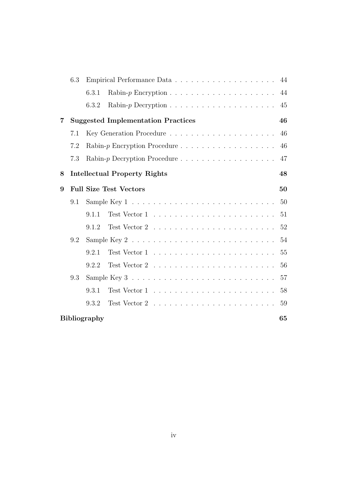|   | 6.3 |                                                                                  | 44 |
|---|-----|----------------------------------------------------------------------------------|----|
|   |     | 6.3.1                                                                            | 44 |
|   |     | 6.3.2                                                                            | 45 |
| 7 |     | <b>Suggested Implementation Practices</b>                                        | 46 |
|   | 7.1 |                                                                                  | 46 |
|   | 7.2 | Rabin-p Encryption Procedure                                                     | 46 |
|   | 7.3 |                                                                                  | 47 |
| 8 |     | <b>Intellectual Property Rights</b>                                              | 48 |
| 9 |     | <b>Full Size Test Vectors</b>                                                    | 50 |
|   | 9.1 |                                                                                  | 50 |
|   |     | 9.1.1                                                                            | 51 |
|   |     | 9.1.2                                                                            | 52 |
|   | 9.2 | Sample Key 2 $\dots \dots \dots \dots \dots \dots \dots \dots \dots \dots \dots$ | 54 |
|   |     | 9.2.1                                                                            | 55 |
|   |     | 9.2.2                                                                            | 56 |
|   | 9.3 |                                                                                  | 57 |
|   |     | 9.3.1                                                                            | 58 |
|   |     | 9.3.2                                                                            | 59 |
|   |     | <b>Bibliography</b>                                                              | 65 |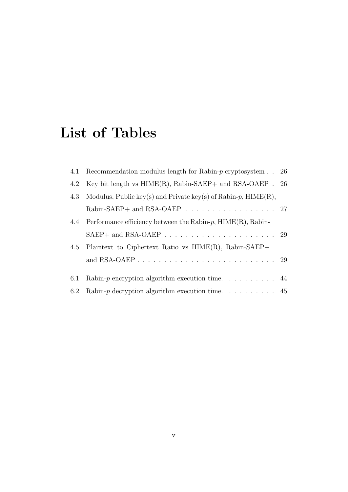## <span id="page-5-0"></span>List of Tables

|     | 4.1 Recommendation modulus length for Rabin- $p$ cryptosystem $\ldots$ 26 |  |
|-----|---------------------------------------------------------------------------|--|
| 4.2 | Key bit length vs $HIME(R)$ , Rabin-SAEP+ and RSA-OAEP . 26               |  |
| 4.3 | Modulus, Public key(s) and Private key(s) of Rabin-p, $HIME(R)$ ,         |  |
|     | Rabin-SAEP+ and RSA-OAEP $\ldots \ldots \ldots \ldots \ldots \ldots 27$   |  |
|     | 4.4 Performance efficiency between the Rabin- $p$ , $HIME(R)$ , Rabin-    |  |
|     |                                                                           |  |
|     | 4.5 Plaintext to Ciphertext Ratio vs $HIME(R)$ , Rabin-SAEP+              |  |
|     |                                                                           |  |
|     |                                                                           |  |
| 6.1 | Rabin-p encryption algorithm execution time. $\dots \dots$ 44             |  |
| 6.2 | Rabin- $p$ decryption algorithm execution time. $\dots \dots \dots$ 45    |  |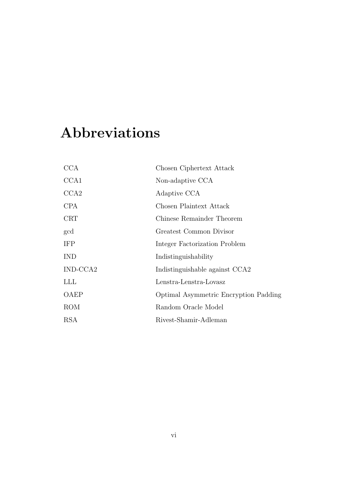## <span id="page-6-0"></span>Abbreviations

| <b>CCA</b> | Chosen Ciphertext Attack              |
|------------|---------------------------------------|
| CCA1       | Non-adaptive CCA                      |
| CCA2       | Adaptive CCA                          |
| <b>CPA</b> | Chosen Plaintext Attack               |
| CRT        | Chinese Remainder Theorem             |
| gcd        | Greatest Common Divisor               |
| <b>IFP</b> | Integer Factorization Problem         |
| <b>IND</b> | Indistinguishability                  |
| IND-CCA2   | Indistinguishable against CCA2        |
| LLL        | Lenstra-Lenstra-Lovasz                |
| OAEP       | Optimal Asymmetric Encryption Padding |
| <b>ROM</b> | Random Oracle Model                   |
| RSA        | Rivest-Shamir-Adleman                 |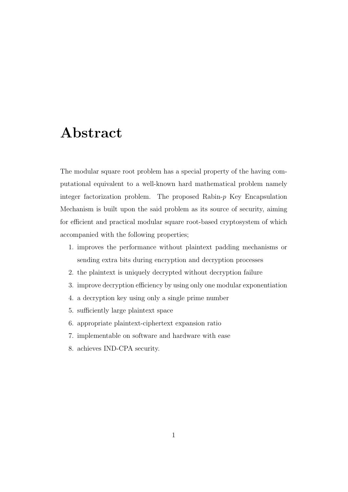## <span id="page-7-0"></span>Abstract

The modular square root problem has a special property of the having computational equivalent to a well-known hard mathematical problem namely integer factorization problem. The proposed Rabin- $p$  Key Encapsulation Mechanism is built upon the said problem as its source of security, aiming for efficient and practical modular square root-based cryptosystem of which accompanied with the following properties;

- 1. improves the performance without plaintext padding mechanisms or sending extra bits during encryption and decryption processes
- 2. the plaintext is uniquely decrypted without decryption failure
- 3. improve decryption efficiency by using only one modular exponentiation
- 4. a decryption key using only a single prime number
- 5. sufficiently large plaintext space
- 6. appropriate plaintext-ciphertext expansion ratio
- 7. implementable on software and hardware with ease
- 8. achieves IND-CPA security.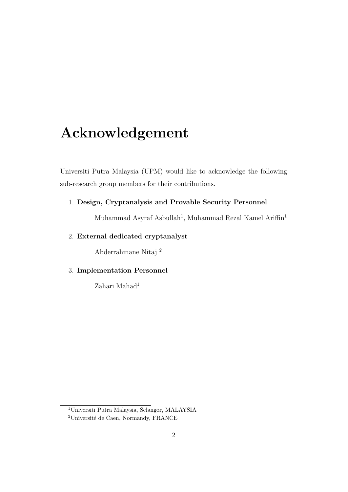## <span id="page-8-0"></span>Acknowledgement

Universiti Putra Malaysia (UPM) would like to acknowledge the following sub-research group members for their contributions.

#### 1. Design, Cryptanalysis and Provable Security Personnel

Muhammad Asyraf Asbullah<sup>[1](#page-8-1)</sup>, Muhammad Rezal Kamel Ariffin<sup>1</sup>

#### 2. External dedicated cryptanalyst

Abderrahmane Nitaj [2](#page-8-2)

#### 3. Implementation Personnel

Zahari Mahad<sup>1</sup>

<span id="page-8-2"></span><span id="page-8-1"></span><sup>1</sup>Universiti Putra Malaysia, Selangor, MALAYSIA

<sup>&</sup>lt;sup>2</sup>Université de Caen, Normandy, FRANCE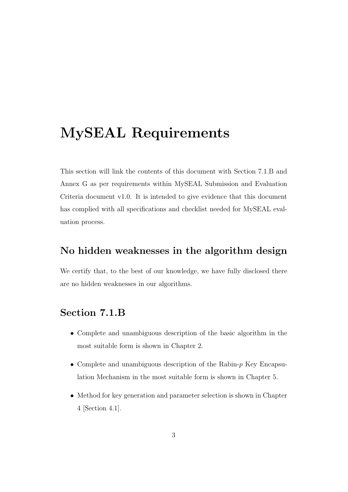## <span id="page-9-0"></span>MySEAL Requirements

This section will link the contents of this document with Section 7.1.B and Annex G as per requirements within MySEAL Submission and Evaluation Criteria document v1.0. It is intended to give evidence that this document has complied with all specifications and checklist needed for MySEAL evaluation process.

### No hidden weaknesses in the algorithm design

We certify that, to the best of our knowledge, we have fully disclosed there are no hidden weaknesses in our algorithms.

### Section 7.1.B

- Complete and unambiguous description of the basic algorithm in the most suitable form is shown in Chapter [2.](#page-15-0)
- Complete and unambiguous description of the Rabin- $p$  Key Encapsulation Mechanism in the most suitable form is shown in Chapter [5.](#page-37-0)
- Method for key generation and parameter selection is shown in Chapter [4](#page-31-0) [Section [4.1\]](#page-31-1).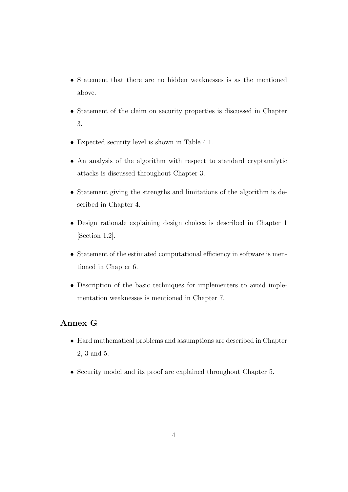- Statement that there are no hidden weaknesses is as the mentioned above.
- Statement of the claim on security properties is discussed in Chapter [3.](#page-22-0)
- Expected security level is shown in Table [4.1.](#page-32-0)
- An analysis of the algorithm with respect to standard cryptanalytic attacks is discussed throughout Chapter [3.](#page-22-0)
- Statement giving the strengths and limitations of the algorithm is described in Chapter [4.](#page-31-0)
- Design rationale explaining design choices is described in Chapter [1](#page-11-0) [Section [1.2\]](#page-12-0).
- Statement of the estimated computational efficiency in software is mentioned in Chapter [6.](#page-49-0)
- Description of the basic techniques for implementers to avoid implementation weaknesses is mentioned in Chapter [7.](#page-52-0)

#### Annex G

- Hard mathematical problems and assumptions are described in Chapter [2,](#page-15-0) [3](#page-22-0) and [5.](#page-37-0)
- Security model and its proof are explained throughout Chapter [5.](#page-37-0)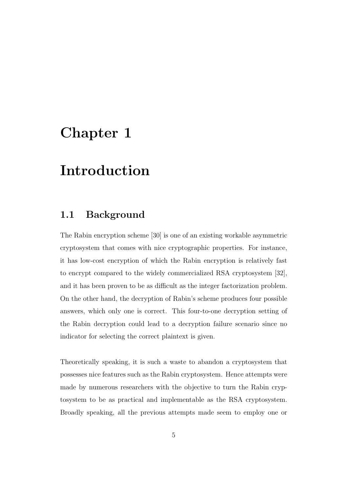## <span id="page-11-0"></span>Chapter 1

## Introduction

### <span id="page-11-1"></span>1.1 Background

The Rabin encryption scheme [\[30\]](#page-70-0) is one of an existing workable asymmetric cryptosystem that comes with nice cryptographic properties. For instance, it has low-cost encryption of which the Rabin encryption is relatively fast to encrypt compared to the widely commercialized RSA cryptosystem [\[32\]](#page-70-1), and it has been proven to be as difficult as the integer factorization problem. On the other hand, the decryption of Rabin's scheme produces four possible answers, which only one is correct. This four-to-one decryption setting of the Rabin decryption could lead to a decryption failure scenario since no indicator for selecting the correct plaintext is given.

Theoretically speaking, it is such a waste to abandon a cryptosystem that possesses nice features such as the Rabin cryptosystem. Hence attempts were made by numerous researchers with the objective to turn the Rabin cryptosystem to be as practical and implementable as the RSA cryptosystem. Broadly speaking, all the previous attempts made seem to employ one or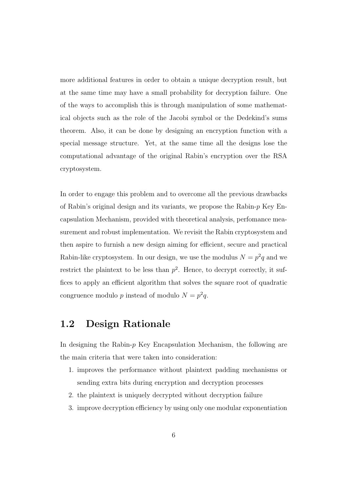more additional features in order to obtain a unique decryption result, but at the same time may have a small probability for decryption failure. One of the ways to accomplish this is through manipulation of some mathematical objects such as the role of the Jacobi symbol or the Dedekind's sums theorem. Also, it can be done by designing an encryption function with a special message structure. Yet, at the same time all the designs lose the computational advantage of the original Rabin's encryption over the RSA cryptosystem.

In order to engage this problem and to overcome all the previous drawbacks of Rabin's original design and its variants, we propose the Rabin- $p$  Key Encapsulation Mechanism, provided with theoretical analysis, perfomance measurement and robust implementation. We revisit the Rabin cryptosystem and then aspire to furnish a new design aiming for efficient, secure and practical Rabin-like cryptosystem. In our design, we use the modulus  $N = p^2q$  and we restrict the plaintext to be less than  $p^2$ . Hence, to decrypt correctly, it suffices to apply an efficient algorithm that solves the square root of quadratic congruence modulo p instead of modulo  $N = p^2 q$ .

### <span id="page-12-0"></span>1.2 Design Rationale

In designing the Rabin- $p$  Key Encapsulation Mechanism, the following are the main criteria that were taken into consideration:

- 1. improves the performance without plaintext padding mechanisms or sending extra bits during encryption and decryption processes
- 2. the plaintext is uniquely decrypted without decryption failure
- 3. improve decryption efficiency by using only one modular exponentiation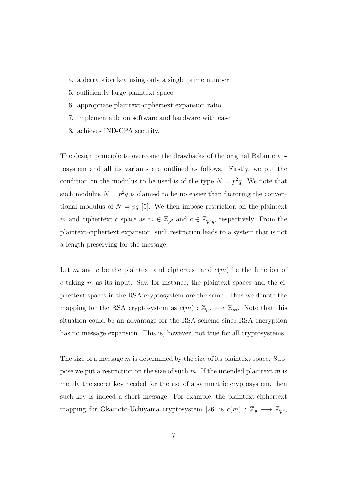- 4. a decryption key using only a single prime number
- 5. sufficiently large plaintext space
- 6. appropriate plaintext-ciphertext expansion ratio
- 7. implementable on software and hardware with ease
- 8. achieves IND-CPA security.

The design principle to overcome the drawbacks of the original Rabin cryptosystem and all its variants are outlined as follows. Firstly, we put the condition on the modulus to be used is of the type  $N = p^2q$ . We note that such modulus  $N = p^2q$  is claimed to be no easier than factoring the conventional modulus of  $N = pq$  [\[5\]](#page-67-1). We then impose restriction on the plaintext m and ciphertext c space as  $m \in \mathbb{Z}_{p^2}$  and  $c \in \mathbb{Z}_{p^2q}$ , respectively. From the plaintext-ciphertext expansion, such restriction leads to a system that is not a length-preserving for the message.

Let m and c be the plaintext and ciphertext and  $c(m)$  be the function of  $c$  taking  $m$  as its input. Say, for instance, the plaintext spaces and the ciphertext spaces in the RSA cryptosystem are the same. Thus we denote the mapping for the RSA cryptosystem as  $c(m) : \mathbb{Z}_{pq} \longrightarrow \mathbb{Z}_{pq}$ . Note that this situation could be an advantage for the RSA scheme since RSA encryption has no message expansion. This is, however, not true for all cryptosystems.

The size of a message  $m$  is determined by the size of its plaintext space. Suppose we put a restriction on the size of such  $m$ . If the intended plaintext  $m$  is merely the secret key needed for the use of a symmetric cryptosystem, then such key is indeed a short message. For example, the plaintext-ciphertext mapping for Okamoto-Uchiyama cryptosystem [\[26\]](#page-70-2) is  $c(m)$ :  $\mathbb{Z}_p \longrightarrow \mathbb{Z}_{p^2}$ ,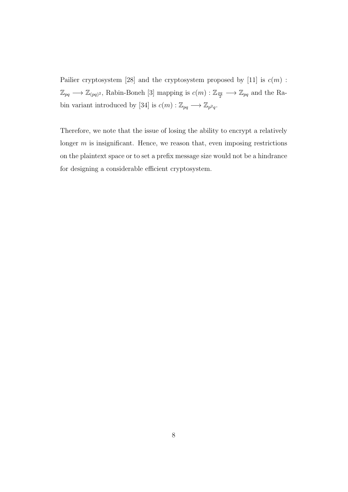Pailier cryptosystem [\[28\]](#page-70-3) and the cryptosystem proposed by [\[11\]](#page-68-0) is  $c(m)$ :  $\mathbb{Z}_{pq} \longrightarrow \mathbb{Z}_{(pq)^2}$ , Rabin-Boneh [\[3\]](#page-67-2) mapping is  $c(m) : \mathbb{Z}_{\frac{pq}{2}} \longrightarrow \mathbb{Z}_{pq}$  and the Ra-bin variant introduced by [\[34\]](#page-71-0) is  $c(m) : \mathbb{Z}_{pq} \longrightarrow \mathbb{Z}_{p^2q}$ .

Therefore, we note that the issue of losing the ability to encrypt a relatively longer  $m$  is insignificant. Hence, we reason that, even imposing restrictions on the plaintext space or to set a prefix message size would not be a hindrance for designing a considerable efficient cryptosystem.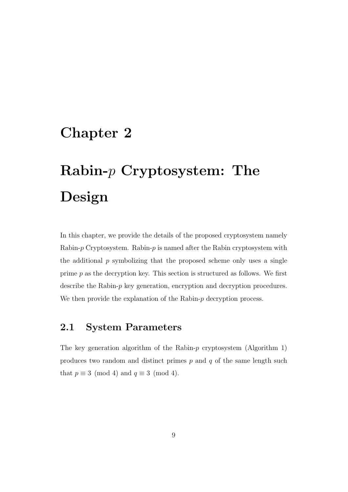## <span id="page-15-0"></span>Chapter 2

# Rabin- $p$  Cryptosystem: The Design

In this chapter, we provide the details of the proposed cryptosystem namely Rabin- $p$  Cryptosystem. Rabin- $p$  is named after the Rabin cryptosystem with the additional  $p$  symbolizing that the proposed scheme only uses a single prime p as the decryption key. This section is structured as follows. We first describe the Rabin-p key generation, encryption and decryption procedures. We then provide the explanation of the Rabin- $p$  decryption process.

### <span id="page-15-1"></span>2.1 System Parameters

The key generation algorithm of the Rabin- $p$  cryptosystem (Algorithm [1\)](#page-16-2) produces two random and distinct primes  $p$  and  $q$  of the same length such that  $p \equiv 3 \pmod{4}$  and  $q \equiv 3 \pmod{4}$ .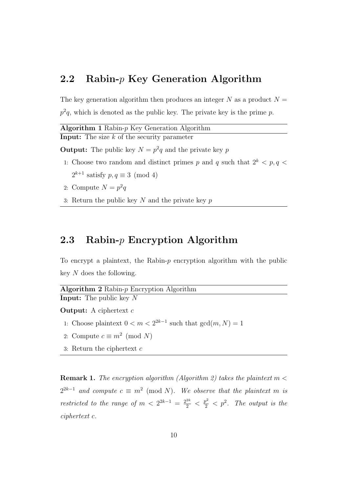### <span id="page-16-0"></span>2.2 Rabin- $p$  Key Generation Algorithm

The key generation algorithm then produces an integer N as a product  $N =$  $p^2q$ , which is denoted as the public key. The private key is the prime p.

<span id="page-16-2"></span>

| <b>Algorithm 1</b> Rabin- $p$ Key Generation Algorithm |
|--------------------------------------------------------|
| <b>Input:</b> The size $k$ of the security parameter   |
|                                                        |

**Output:** The public key  $N = p^2q$  and the private key p

- 1: Choose two random and distinct primes p and q such that  $2^k$  < p, q <  $2^{k+1}$  satisfy  $p, q \equiv 3 \pmod{4}$
- 2: Compute  $N = p^2q$
- 3: Return the public key  $N$  and the private key  $p$

### <span id="page-16-1"></span>2.3 Rabin- $p$  Encryption Algorithm

To encrypt a plaintext, the Rabin- $p$  encryption algorithm with the public key N does the following.

<span id="page-16-3"></span>

**Output:** A ciphertext  $c$ 

- 1: Choose plaintext  $0 < m < 2^{2k-1}$  such that  $gcd(m, N) = 1$
- 2: Compute  $c \equiv m^2 \pmod{N}$
- 3: Return the ciphertext c

**Remark 1.** The encryption algorithm (Algorithm [2\)](#page-16-3) takes the plaintext  $m <$  $2^{2k-1}$  and compute  $c \equiv m^2 \pmod{N}$ . We observe that the plaintext m is restricted to the range of  $m < 2^{2k-1} = \frac{2^{2k}}{2} < \frac{p^2}{2} < p^2$ . The output is the ciphertext c.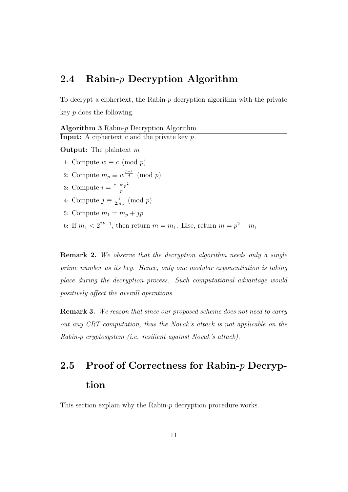### <span id="page-17-0"></span>2.4 Rabin-p Decryption Algorithm

To decrypt a ciphertext, the Rabin- $p$  decryption algorithm with the private key p does the following.

<span id="page-17-2"></span>Algorithm 3 Rabin-p Decryption Algorithm **Input:** A ciphertext c and the private key  $p$ **Output:** The plaintext  $m$ 1: Compute  $w \equiv c \pmod{p}$ 2: Compute  $m_p \equiv w^{\frac{p+1}{4}} \pmod{p}$ 3: Compute  $i = \frac{c - m_p^2}{n}$ p 4: Compute  $j \equiv \frac{i}{2n}$  $\frac{i}{2m_p} \pmod{p}$ 5: Compute  $m_1 = m_p + jp$ 6: If  $m_1 < 2^{2k-1}$ , then return  $m = m_1$ . Else, return  $m = p^2 - m_1$ 

**Remark 2.** We observe that the decryption algorithm needs only a single prime number as its key. Hence, only one modular exponentiation is taking place during the decryption process. Such computational advantage would positively affect the overall operations.

**Remark 3.** We reason that since our proposed scheme does not need to carry out any CRT computation, thus the Novak's attack is not applicable on the Rabin-p cryptosystem (i.e. resilient against Novak's attack).

## <span id="page-17-1"></span>2.5 Proof of Correctness for Rabin- $p$  Decryption

This section explain why the Rabin- $p$  decryption procedure works.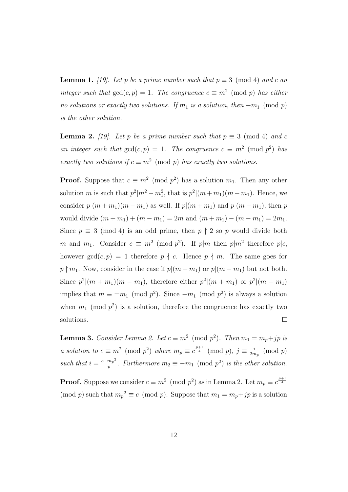**Lemma 1.** [\[19\]](#page-69-0). Let p be a prime number such that  $p \equiv 3 \pmod{4}$  and c an integer such that  $gcd(c, p) = 1$ . The congruence  $c \equiv m^2 \pmod{p}$  has either no solutions or exactly two solutions. If  $m_1$  is a solution, then  $-m_1 \pmod{p}$ is the other solution.

<span id="page-18-0"></span>**Lemma 2.** [\[19\]](#page-69-0). Let p be a prime number such that  $p \equiv 3 \pmod{4}$  and c an integer such that  $gcd(c, p) = 1$ . The congruence  $c \equiv m^2 \pmod{p^2}$  has exactly two solutions if  $c \equiv m^2 \pmod{p}$  has exactly two solutions.

**Proof.** Suppose that  $c \equiv m^2 \pmod{p^2}$  has a solution  $m_1$ . Then any other solution m is such that  $p^2|m^2 - m_1^2$ , that is  $p^2|(m+m_1)(m-m_1)$ . Hence, we consider  $p|(m+m_1)(m-m_1)$  as well. If  $p|(m+m_1)$  and  $p|(m-m_1)$ , then p would divide  $(m + m_1) + (m - m_1) = 2m$  and  $(m + m_1) - (m - m_1) = 2m_1$ . Since  $p \equiv 3 \pmod{4}$  is an odd prime, then  $p \nmid 2$  so p would divide both m and  $m_1$ . Consider  $c \equiv m^2 \pmod{p^2}$ . If  $p|m$  then  $p|m^2$  therefore  $p|c$ , however  $gcd(c, p) = 1$  therefore  $p \nmid c$ . Hence  $p \nmid m$ . The same goes for  $p \nmid m_1$ . Now, consider in the case if  $p|(m + m_1)$  or  $p|(m - m_1)$  but not both. Since  $p^2|(m + m_1)(m - m_1)$ , therefore either  $p^2|(m + m_1)$  or  $p^2|(m - m_1)$ implies that  $m \equiv \pm m_1 \pmod{p^2}$ . Since  $-m_1 \pmod{p^2}$  is always a solution when  $m_1 \pmod{p^2}$  is a solution, therefore the congruence has exactly two solutions.  $\Box$ 

<span id="page-18-1"></span>**Lemma 3.** Consider Lemma [2.](#page-18-0) Let  $c \equiv m^2 \pmod{p^2}$ . Then  $m_1 = m_p + jp$  is a solution to  $c \equiv m^2 \pmod{p^2}$  where  $m_p \equiv c^{\frac{p+1}{4}} \pmod{p}$ ,  $j \equiv \frac{i}{2m}$  $\frac{i}{2m_p} \pmod{p}$ such that  $i = \frac{c - m_p^2}{n}$  $\frac{m_p^2}{p}$ . Furthermore  $m_2 \equiv -m_1 \pmod{p^2}$  is the other solution.

**Proof.** Suppose we consider  $c \equiv m^2 \pmod{p^2}$  as in Lemma [2.](#page-18-0) Let  $m_p \equiv c^{\frac{p+1}{4}}$ (mod p) such that  $m_p^2 \equiv c \pmod{p}$ . Suppose that  $m_1 = m_p + jp$  is a solution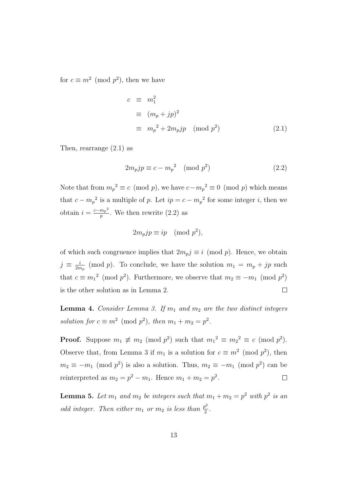for  $c \equiv m^2 \pmod{p^2}$ , then we have

<span id="page-19-0"></span>
$$
c \equiv m_1^2
$$
  
\n
$$
\equiv (m_p + jp)^2
$$
  
\n
$$
\equiv m_p^2 + 2m_pjp \pmod{p^2}
$$
 (2.1)

Then, rearrange [\(2.1\)](#page-19-0) as

<span id="page-19-1"></span>
$$
2m_p j p \equiv c - m_p^2 \pmod{p^2}
$$
\n<sup>(2.2)</sup>

Note that from  $m_p^2 \equiv c \pmod{p}$ , we have  $c - m_p^2 \equiv 0 \pmod{p}$  which means that  $c - m_p^2$  is a multiple of p. Let  $ip = c - m_p^2$  for some integer i, then we obtain  $i = \frac{c - m_p^2}{n}$  $\frac{m_p}{p}$ . We then rewrite  $(2.2)$  as

$$
2m_p j p \equiv i p \pmod{p^2},
$$

of which such congruence implies that  $2m_p j \equiv i \pmod{p}$ . Hence, we obtain  $j \equiv \frac{i}{2n}$  $\frac{i}{2m_p}$  (mod p). To conclude, we have the solution  $m_1 = m_p + j_p$  such that  $c \equiv m_1^2 \pmod{p^2}$ . Furthermore, we observe that  $m_2 \equiv -m_1 \pmod{p^2}$ is the other solution as in Lemma [2.](#page-18-0)  $\Box$ 

<span id="page-19-2"></span>**Lemma 4.** Consider Lemma [3.](#page-18-1) If  $m_1$  and  $m_2$  are the two distinct integers solution for  $c \equiv m^2 \pmod{p^2}$ , then  $m_1 + m_2 = p^2$ .

**Proof.** Suppose  $m_1 \not\equiv m_2 \pmod{p^2}$  such that  $m_1^2 \equiv m_2^2 \equiv c \pmod{p^2}$ . Observe that, from Lemma [3](#page-18-1) if  $m_1$  is a solution for  $c \equiv m^2 \pmod{p^2}$ , then  $m_2 \equiv -m_1 \pmod{p^2}$  is also a solution. Thus,  $m_2 \equiv -m_1 \pmod{p^2}$  can be reinterpreted as  $m_2 = p^2 - m_1$ . Hence  $m_1 + m_2 = p^2$ .  $\Box$ 

<span id="page-19-3"></span>**Lemma 5.** Let  $m_1$  and  $m_2$  be integers such that  $m_1 + m_2 = p^2$  with  $p^2$  is an odd integer. Then either  $m_1$  or  $m_2$  is less than  $\frac{p^2}{2}$  $\frac{p^2}{2}$ .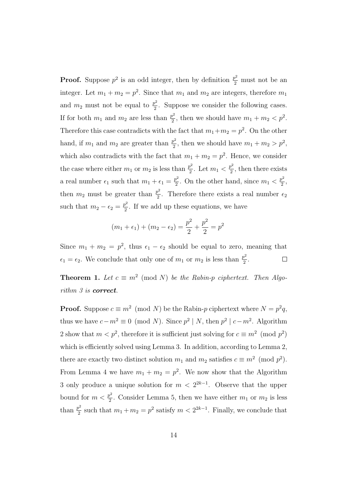**Proof.** Suppose  $p^2$  is an odd integer, then by definition  $\frac{p^2}{2}$  must not be an integer. Let  $m_1 + m_2 = p^2$ . Since that  $m_1$  and  $m_2$  are integers, therefore  $m_1$ and  $m_2$  must not be equal to  $\frac{p^2}{2}$  $\frac{p^2}{2}$ . Suppose we consider the following cases. If for both  $m_1$  and  $m_2$  are less than  $\frac{p^2}{2}$  $\frac{p^2}{2}$ , then we should have  $m_1 + m_2 < p^2$ . Therefore this case contradicts with the fact that  $m_1+m_2=p^2$ . On the other hand, if  $m_1$  and  $m_2$  are greater than  $\frac{p^2}{2}$  $\frac{p^2}{2}$ , then we should have  $m_1 + m_2 > p^2$ , which also contradicts with the fact that  $m_1 + m_2 = p^2$ . Hence, we consider the case where either  $m_1$  or  $m_2$  is less than  $\frac{p^2}{2}$  $\frac{p^2}{2}$ . Let  $m_1 < \frac{p^2}{2}$  $\frac{p^2}{2}$ , then there exists a real number  $\epsilon_1$  such that  $m_1 + \epsilon_1 = \frac{p^2}{2}$  $\frac{p^2}{2}$ . On the other hand, since  $m_1 < \frac{p^2}{2}$  $\frac{p^2}{2}$ , then  $m_2$  must be greater than  $\frac{p^2}{2}$  $\frac{2^2}{2}$ . Therefore there exists a real number  $\epsilon_2$ such that  $m_2 - \epsilon_2 = \frac{p^2}{2}$  $\frac{p^2}{2}$ . If we add up these equations, we have

$$
(m_1 + \epsilon_1) + (m_2 - \epsilon_2) = \frac{p^2}{2} + \frac{p^2}{2} = p^2
$$

Since  $m_1 + m_2 = p^2$ , thus  $\epsilon_1 - \epsilon_2$  should be equal to zero, meaning that  $\epsilon_1 = \epsilon_2$ . We conclude that only one of  $m_1$  or  $m_2$  is less than  $\frac{p^2}{2}$  $\frac{p^2}{2}$ .  $\Box$ 

**Theorem 1.** Let  $c \equiv m^2 \pmod{N}$  be the Rabin-p ciphertext. Then Algo-rithm [3](#page-17-2) is **correct**.

**Proof.** Suppose  $c \equiv m^2 \pmod{N}$  be the Rabin-p ciphertext where  $N = p^2 q$ , thus we have  $c - m^2 \equiv 0 \pmod{N}$ . Since  $p^2 | N$ , then  $p^2 | c - m^2$ . Algorithm [2](#page-16-3) show that  $m < p^2$ , therefore it is sufficient just solving for  $c \equiv m^2 \pmod{p^2}$ which is efficiently solved using Lemma [3.](#page-18-1) In addition, according to Lemma [2,](#page-18-0) there are exactly two distinct solution  $m_1$  and  $m_2$  satisfies  $c \equiv m^2 \pmod{p^2}$ . From Lemma [4](#page-19-2) we have  $m_1 + m_2 = p^2$ . We now show that the Algorithm [3](#page-17-2) only produce a unique solution for  $m < 2^{2k-1}$ . Observe that the upper bound for  $m < \frac{p^2}{2}$  $\frac{p^2}{2}$ . Consider Lemma [5,](#page-19-3) then we have either  $m_1$  or  $m_2$  is less than  $\frac{p^2}{2}$  $\frac{p^2}{2}$  such that  $m_1 + m_2 = p^2$  satisfy  $m < 2^{2k-1}$ . Finally, we conclude that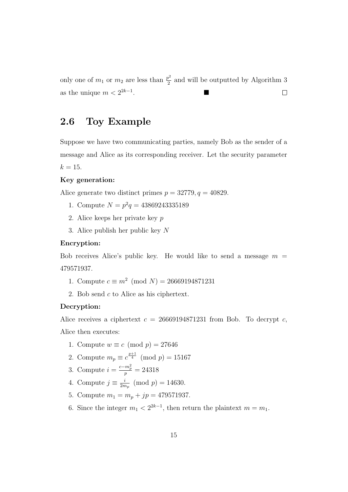only one of  $m_1$  or  $m_2$  are less than  $\frac{p^2}{2}$  $\frac{p^2}{2}$  and will be outputted by Algorithm [3](#page-17-2) . as the unique  $m < 2^{2k-1}$  $\Box$ 

### <span id="page-21-0"></span>2.6 Toy Example

Suppose we have two communicating parties, namely Bob as the sender of a message and Alice as its corresponding receiver. Let the security parameter  $k = 15$ .

#### Key generation:

Alice generate two distinct primes  $p = 32779, q = 40829$ .

- 1. Compute  $N = p^2q = 43869243335189$
- 2. Alice keeps her private key p
- 3. Alice publish her public key N

#### Encryption:

Bob receives Alice's public key. He would like to send a message  $m =$ 479571937.

- 1. Compute  $c \equiv m^2 \pmod{N} = 26669194871231$
- 2. Bob send c to Alice as his ciphertext.

#### Decryption:

Alice receives a ciphertext  $c = 26669194871231$  from Bob. To decrypt c,

Alice then executes:

- 1. Compute  $w \equiv c \pmod{p} = 27646$
- 2. Compute  $m_p \equiv c^{\frac{p+1}{4}} \pmod{p} = 15167$
- 3. Compute  $i = \frac{c m_p^2}{p} = 24318$
- 4. Compute  $j \equiv \frac{i}{2n}$  $\frac{i}{2m_p} \pmod{p} = 14630.$
- 5. Compute  $m_1 = m_p + jp = 479571937$ .
- 6. Since the integer  $m_1 < 2^{2k-1}$ , then return the plaintext  $m = m_1$ .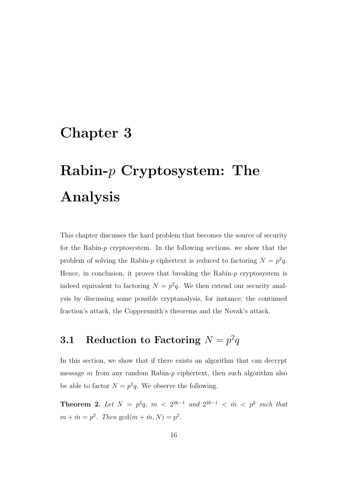## <span id="page-22-0"></span>Chapter 3

# Rabin-p Cryptosystem: The Analysis

This chapter discusses the hard problem that becomes the source of security for the Rabin-p cryptosystem. In the following sections, we show that the problem of solving the Rabin-p ciphertext is reduced to factoring  $N = p^2 q$ . Hence, in conclusion, it proves that breaking the Rabin- $p$  cryptosystem is indeed equivalent to factoring  $N = p^2q$ . We then extend our security analysis by discussing some possible cryptanalysis, for instance; the continued fraction's attack, the Coppersmith's theorems and the Novak's attack.

### <span id="page-22-1"></span> $\textbf{3.1} \quad \textbf{Reduction to Factoring} \, \, N = p^2 q$

In this section, we show that if there exists an algorithm that can decrypt message  $m$  from any random Rabin- $p$  ciphertext, then such algorithm also be able to factor  $N = p^2q$ . We observe the following.

<span id="page-22-2"></span>**Theorem 2.** Let  $N = p^2q$ ,  $m < 2^{2k-1}$  and  $2^{2k-1} < \hat{m} < p^2$  such that  $m + \hat{m} = p^2$ . Then  $gcd(m + \hat{m}, N) = p^2$ .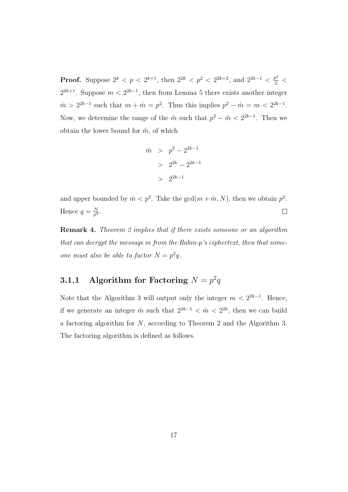**Proof.** Suppose  $2^k < p < 2^{k+1}$ , then  $2^{2k} < p^2 < 2^{2k+2}$ , and  $2^{2k-1} < \frac{p^2}{2} <$  $2^{2k+1}$ . Suppose  $m < 2^{2k-1}$ , then from Lemma [5](#page-19-3) there exists another integer  $\hat{m} > 2^{2k-1}$  such that  $m + \hat{m} = p^2$ . Thus this implies  $p^2 - \hat{m} = m < 2^{2k-1}$ . Now, we determine the range of the  $\hat{m}$  such that  $p^2 - \hat{m} < 2^{2k-1}$ . Then we obtain the lower bound for  $\hat{m}$ , of which

$$
\begin{array}{rcl} \hat{m} & > & p^2 - 2^{2k - 1} \\ & > & 2^{2k} - 2^{2k - 1} \\ & > & 2^{2k - 1} \end{array}
$$

and upper bounded by  $\hat{m} < p^2$ . Take the  $gcd(m + \hat{m}, N)$ , then we obtain  $p^2$ . Hence  $q = \frac{N}{n^2}$  $\frac{N}{p^2}.$  $\Box$ 

**Remark 4.** Theorem [2](#page-22-2) implies that if there exists someone or an algorithm that can decrypt the message m from the Rabin-p's ciphertext, then that someone must also be able to factor  $N = p^2q$ .

### <span id="page-23-0"></span>3.1.1 Algorithm for Factoring  $N = p^2q$

Note that the Algorithm [3](#page-17-2) will output only the integer  $m < 2^{2k-1}$ . Hence, if we generate an integer  $\hat{m}$  such that  $2^{2k-1} < \hat{m} < 2^{2k}$ , then we can build a factoring algorithm for N, according to Theorem [2](#page-22-2) and the Algorithm [3.](#page-17-2) The factoring algorithm is defined as follows.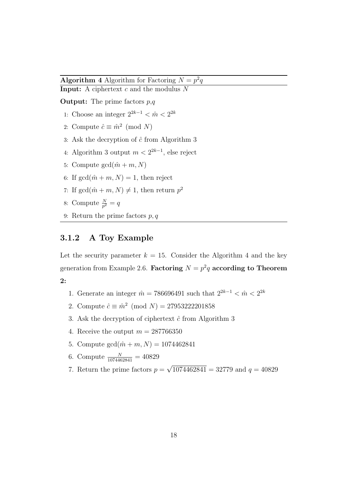<span id="page-24-1"></span>**Algorithm 4** Algorithm for Factoring  $N = p^2q$ **Input:** A ciphertext  $c$  and the modulus  $N$ 

**Output:** The prime factors  $p,q$ 

- 1: Choose an integer  $2^{2k-1} < \hat{m} < 2^{2k}$
- 2: Compute  $\hat{c} \equiv \hat{m}^2 \pmod{N}$
- 3: Ask the decryption of  $\hat{c}$  from Algorithm [3](#page-17-2)
- 4: Algorithm [3](#page-17-2) output  $m < 2^{2k-1}$ , else reject
- 5: Compute  $gcd(\hat{m} + m, N)$
- 6: If  $gcd(\hat{m} + m, N) = 1$ , then reject
- 7: If  $gcd(\hat{m} + m, N) \neq 1$ , then return  $p^2$
- 8: Compute  $\frac{N}{p^2} = q$
- 9: Return the prime factors  $p, q$

#### <span id="page-24-0"></span>3.1.2 A Toy Example

Let the security parameter  $k = 15$ . Consider the Algorithm [4](#page-24-1) and the key generation from Example [2.6.](#page-21-0) Factoring  $N = p^2q$  according to Theorem [2:](#page-22-2)

- 1. Generate an integer  $\hat{m} = 786696491$  such that  $2^{2k-1} < \hat{m} < 2^{2k}$
- 2. Compute  $\hat{c} \equiv \hat{m}^2 \pmod{N} = 27953222201858$
- 3. Ask the decryption of ciphertext  $\hat{c}$  from Algorithm [3](#page-17-2)
- 4. Receive the output  $m = 287766350$
- 5. Compute  $gcd(\hat{m} + m, N) = 1074462841$
- 6. Compute  $\frac{N}{1074462841} = 40829$
- 7. Return the prime factors  $p =$ √  $1074462841 = 32779$  and  $q = 40829$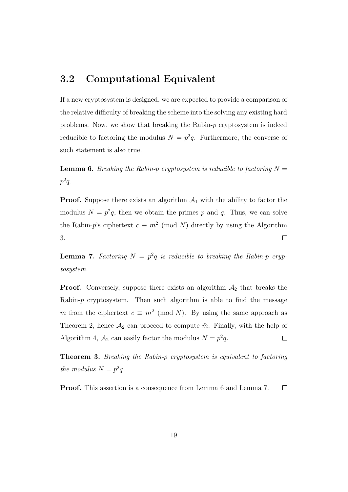### <span id="page-25-0"></span>3.2 Computational Equivalent

If a new cryptosystem is designed, we are expected to provide a comparison of the relative difficulty of breaking the scheme into the solving any existing hard problems. Now, we show that breaking the Rabin-p cryptosystem is indeed reducible to factoring the modulus  $N = p^2q$ . Furthermore, the converse of such statement is also true.

<span id="page-25-1"></span>**Lemma 6.** Breaking the Rabin-p cryptosystem is reducible to factoring  $N =$  $p^2q$ .

**Proof.** Suppose there exists an algorithm  $A_1$  with the ability to factor the modulus  $N = p^2q$ , then we obtain the primes p and q. Thus, we can solve the Rabin-p's ciphertext  $c \equiv m^2 \pmod{N}$  directly by using the Algorithm [3.](#page-17-2)  $\Box$ 

<span id="page-25-2"></span>**Lemma 7.** Factoring  $N = p^2q$  is reducible to breaking the Rabin-p cryptosystem.

**Proof.** Conversely, suppose there exists an algorithm  $A_2$  that breaks the Rabin- $p$  cryptosystem. Then such algorithm is able to find the message m from the ciphertext  $c \equiv m^2 \pmod{N}$ . By using the same approach as Theorem [2,](#page-22-2) hence  $\mathcal{A}_2$  can proceed to compute  $\hat{m}$ . Finally, with the help of Algorithm [4,](#page-24-1)  $A_2$  can easily factor the modulus  $N = p^2 q$ .  $\Box$ 

Theorem 3. Breaking the Rabin-p cryptosystem is equivalent to factoring the modulus  $N = p^2 q$ .

Proof. This assertion is a consequence from Lemma [6](#page-25-1) and Lemma [7.](#page-25-2)  $\Box$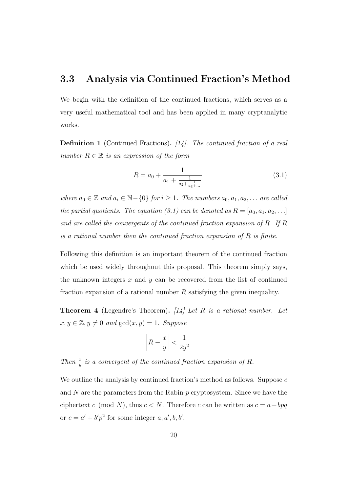#### <span id="page-26-0"></span>3.3 Analysis via Continued Fraction's Method

We begin with the definition of the continued fractions, which serves as a very useful mathematical tool and has been applied in many cryptanalytic works.

**Definition 1** (Continued Fractions). [\[14\]](#page-68-1). The continued fraction of a real number  $R \in \mathbb{R}$  is an expression of the form

<span id="page-26-1"></span>
$$
R = a_0 + \frac{1}{a_1 + \frac{1}{a_2 + \frac{1}{a_3 + \dots}}}
$$
\n(3.1)

where  $a_0 \in \mathbb{Z}$  and  $a_i \in \mathbb{N}-\{0\}$  for  $i \geq 1$ . The numbers  $a_0, a_1, a_2, \ldots$  are called the partial quotients. The equation [\(3.1\)](#page-26-1) can be denoted as  $R = [a_0, a_1, a_2, \ldots]$ and are called the convergents of the continued fraction expansion of R. If R is a rational number then the continued fraction expansion of  $R$  is finite.

Following this definition is an important theorem of the continued fraction which be used widely throughout this proposal. This theorem simply says, the unknown integers  $x$  and  $y$  can be recovered from the list of continued fraction expansion of a rational number  $R$  satisfying the given inequality.

<span id="page-26-3"></span>**Theorem 4** (Legendre's Theorem). [\[14\]](#page-68-1) Let R is a rational number. Let  $x, y \in \mathbb{Z}, y \neq 0$  and  $gcd(x, y) = 1$ . Suppose

<span id="page-26-2"></span>
$$
\left| R - \frac{x}{y} \right| < \frac{1}{2y^2}
$$

Then  $\frac{x}{y}$  is a convergent of the continued fraction expansion of R.

We outline the analysis by continued fraction's method as follows. Suppose  $c$ and  $N$  are the parameters from the Rabin- $p$  cryptosystem. Since we have the ciphertext c (mod N), thus  $c < N$ . Therefore c can be written as  $c = a + bpq$ or  $c = a' + b'p^2$  for some integer  $a, a', b, b'$ .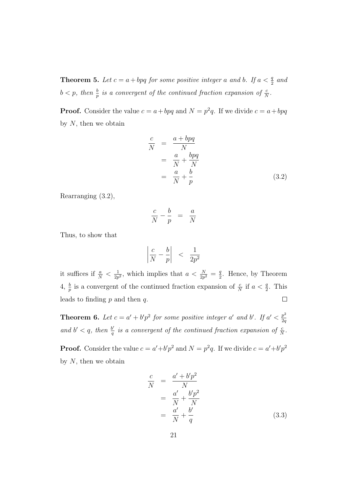**Theorem 5.** Let  $c = a + bpq$  for some positive integer a and b. If  $a < \frac{q}{2}$  and  $b < p$ , then  $\frac{b}{p}$  is a convergent of the continued fraction expansion of  $\frac{c}{N}$ .

**Proof.** Consider the value  $c = a + bpq$  and  $N = p^2q$ . If we divide  $c = a + bpq$ by  $N$ , then we obtain

$$
\frac{c}{N} = \frac{a + bpq}{N}
$$
\n
$$
= \frac{a}{N} + \frac{bpq}{N}
$$
\n
$$
= \frac{a}{N} + \frac{b}{p}
$$
\n(3.2)

Rearranging [\(3.2\)](#page-26-2),

<span id="page-27-0"></span>
$$
\frac{c}{N} - \frac{b}{p} = \frac{a}{N}
$$

Thus, to show that

$$
\left|\frac{c}{N} - \frac{b}{p}\right| < \frac{1}{2p^2}
$$

it suffices if  $\frac{a}{N} < \frac{1}{2p}$  $\frac{1}{2p^2}$ , which implies that  $a < \frac{N}{2p^2} = \frac{q}{2}$  $\frac{q}{2}$ . Hence, by Theorem [4,](#page-26-3)  $\frac{b}{p}$  is a convergent of the continued fraction expansion of  $\frac{c}{N}$  if  $a < \frac{q}{2}$ . This leads to finding  $p$  and then  $q$ .  $\Box$ 

**Theorem 6.** Let  $c = a' + b'p^2$  for some positive integer a' and b'. If  $a' < \frac{p^2}{2c}$ 2q and  $b' < q$ , then  $\frac{b'}{q}$  $\frac{b'}{q}$  is a convergent of the continued fraction expansion of  $\frac{c}{N}$ .

**Proof.** Consider the value  $c = a' + b'p^2$  and  $N = p^2q$ . If we divide  $c = a' + b'p^2$ by  $N$ , then we obtain

$$
\frac{c}{N} = \frac{a' + b'p^2}{N}
$$
\n
$$
= \frac{a'}{N} + \frac{b'p^2}{N}
$$
\n
$$
= \frac{a'}{N} + \frac{b'}{q}
$$
\n(3.3)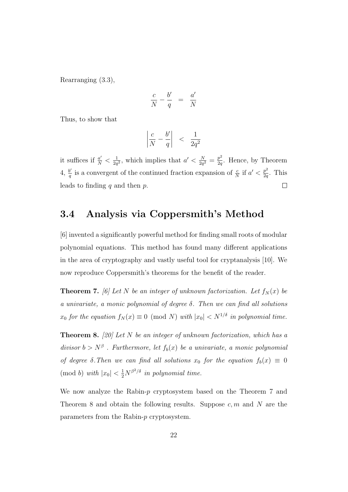Rearranging [\(3.3\)](#page-27-0),

$$
\frac{c}{N}-\frac{b'}{q} ~=~ \frac{a'}{N}
$$

Thus, to show that

$$
\left|\frac{c}{N} - \frac{b'}{q}\right| < \frac{1}{2q^2}
$$

 $\frac{N}{2q^2} = \frac{p^2}{2q}$ it suffices if  $\frac{a'}{N} < \frac{1}{2q}$  $\frac{1}{2q^2}$ , which implies that  $a' < \frac{N}{2q}$  $\frac{p^2}{2q}$ . Hence, by Theorem  $4, \frac{b'}{a}$  $4, \frac{b'}{a}$  $\frac{b'}{q}$  is a convergent of the continued fraction expansion of  $\frac{c}{N}$  if  $a' < \frac{p^2}{2q}$  $\frac{p^2}{2q}$ . This leads to finding  $q$  and then  $p$ .  $\Box$ 

### <span id="page-28-0"></span>3.4 Analysis via Coppersmith's Method

[\[6\]](#page-67-3) invented a significantly powerful method for finding small roots of modular polynomial equations. This method has found many different applications in the area of cryptography and vastly useful tool for cryptanalysis [\[10\]](#page-68-2). We now reproduce Coppersmith's theorems for the benefit of the reader.

<span id="page-28-1"></span>**Theorem 7.** [\[6\]](#page-67-3) Let N be an integer of unknown factorization. Let  $f_N(x)$  be a univariate, a monic polynomial of degree  $\delta$ . Then we can find all solutions  $x_0$  for the equation  $f_N(x) \equiv 0 \pmod{N}$  with  $|x_0| < N^{1/\delta}$  in polynomial time.

<span id="page-28-2"></span>**Theorem 8.** [\[20\]](#page-69-1) Let N be an integer of unknown factorization, which has a divisor  $b > N^{\beta}$ . Furthermore, let  $f_b(x)$  be a univariate, a monic polynomial of degree  $\delta$ . Then we can find all solutions  $x_0$  for the equation  $f_b(x) \equiv 0$ (mod b) with  $|x_0| < \frac{1}{2}N^{\beta^2/\delta}$  in polynomial time.

We now analyze the Rabin-p cryptosystem based on the Theorem [7](#page-28-1) and Theorem [8](#page-28-2) and obtain the following results. Suppose  $c, m$  and N are the parameters from the Rabin-p cryptosystem.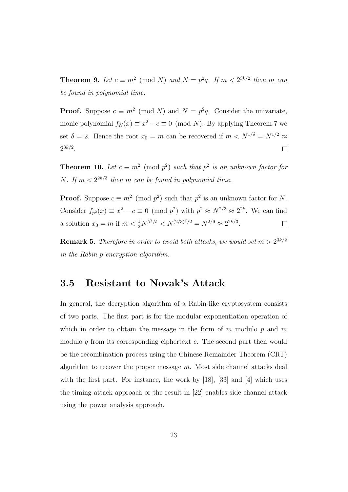**Theorem 9.** Let  $c \equiv m^2 \pmod{N}$  and  $N = p^2q$ . If  $m < 2^{3k/2}$  then m can be found in polynomial time.

**Proof.** Suppose  $c \equiv m^2 \pmod{N}$  and  $N = p^2q$ . Consider the univariate, monic polynomial  $f_N(x) \equiv x^2 - c \equiv 0 \pmod{N}$ . By applying Theorem [7](#page-28-1) we set  $\delta = 2$ . Hence the root  $x_0 = m$  can be recovered if  $m \langle N^{1/\delta} \rangle = N^{1/2} \approx$  $2^{3k/2}.$  $\Box$ 

**Theorem 10.** Let  $c \equiv m^2 \pmod{p^2}$  such that  $p^2$  is an unknown factor for *N*. If  $m < 2^{2k/3}$  then *m* can be found in polynomial time.

**Proof.** Suppose  $c \equiv m^2 \pmod{p^2}$  such that  $p^2$  is an unknown factor for N. Consider  $f_{p^2}(x) \equiv x^2 - c \equiv 0 \pmod{p^2}$  with  $p^2 \approx N^{2/3} \approx 2^{2k}$ . We can find a solution  $x_0 = m$  if  $m < \frac{1}{2} N^{\beta^2/\delta} < N^{(2/3)^2/2} = N^{2/9} \approx 2^{2k/3}$ .  $\Box$ 

**Remark 5.** Therefore in order to avoid both attacks, we would set  $m > 2^{3k/2}$ in the Rabin-p encryption algorithm.

#### <span id="page-29-0"></span>3.5 Resistant to Novak's Attack

In general, the decryption algorithm of a Rabin-like cryptosystem consists of two parts. The first part is for the modular exponentiation operation of which in order to obtain the message in the form of  $m$  modulo  $p$  and  $m$ modulo q from its corresponding ciphertext  $c$ . The second part then would be the recombination process using the Chinese Remainder Theorem (CRT) algorithm to recover the proper message  $m$ . Most side channel attacks deal with the first part. For instance, the work by [\[18\]](#page-69-2), [\[33\]](#page-70-4) and [\[4\]](#page-67-4) which uses the timing attack approach or the result in [\[22\]](#page-69-3) enables side channel attack using the power analysis approach.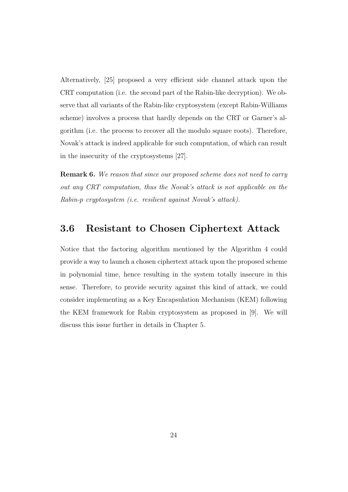Alternatively, [\[25\]](#page-69-4) proposed a very efficient side channel attack upon the CRT computation (i.e. the second part of the Rabin-like decryption). We observe that all variants of the Rabin-like cryptosystem (except Rabin-Williams scheme) involves a process that hardly depends on the CRT or Garner's algorithm (i.e. the process to recover all the modulo square roots). Therefore, Novak's attack is indeed applicable for such computation, of which can result in the insecurity of the cryptosystems [\[27\]](#page-70-5).

**Remark 6.** We reason that since our proposed scheme does not need to carry out any CRT computation, thus the Novak's attack is not applicable on the Rabin-p cryptosystem (i.e. resilient against Novak's attack).

#### <span id="page-30-0"></span>3.6 Resistant to Chosen Ciphertext Attack

Notice that the factoring algorithm mentioned by the Algorithm [4](#page-24-1) could provide a way to launch a chosen ciphertext attack upon the proposed scheme in polynomial time, hence resulting in the system totally insecure in this sense. Therefore, to provide security against this kind of attack, we could consider implementing as a Key Encapsulation Mechanism (KEM) following the KEM framework for Rabin cryptosystem as proposed in [\[9\]](#page-68-3). We will discuss this issue further in details in Chapter [5.](#page-37-0)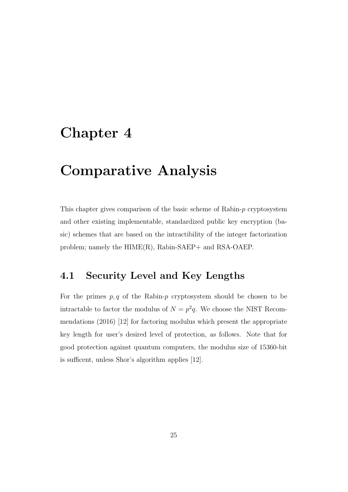## <span id="page-31-0"></span>Chapter 4

### Comparative Analysis

This chapter gives comparison of the basic scheme of Rabin-p cryptosystem and other existing implementable, standardized public key encryption (basic) schemes that are based on the intractibility of the integer factorization problem; namely the  $HIME(R)$ ,  $Rabin-SAEP+$  and  $RSA-OAEP$ .

### <span id="page-31-1"></span>4.1 Security Level and Key Lengths

For the primes  $p, q$  of the Rabin-p cryptosystem should be chosen to be intractable to factor the modulus of  $N = p^2q$ . We choose the NIST Recommendations (2016) [\[12\]](#page-68-4) for factoring modulus which present the appropriate key length for user's desired level of protection, as follows. Note that for good protection against quantum computers, the modulus size of 15360-bit is sufficent, unless Shor's algorithm applies [\[12\]](#page-68-4).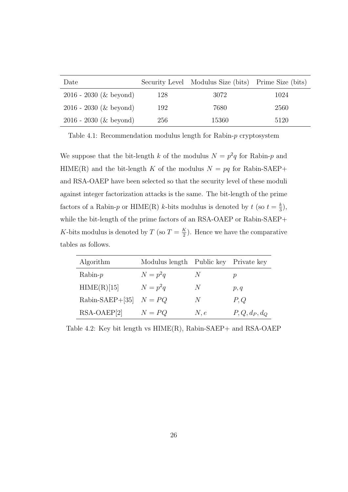| Date                     |     | Security Level Modulus Size (bits) Prime Size (bits) |      |
|--------------------------|-----|------------------------------------------------------|------|
| $2016 - 2030$ (& beyond) | 128 | 3072                                                 | 1024 |
| $2016 - 2030$ (& beyond) | 192 | 7680                                                 | 2560 |
| $2016 - 2030$ (& beyond) | 256 | 15360                                                | 5120 |

<span id="page-32-0"></span>Table 4.1: Recommendation modulus length for Rabin-p cryptosystem

We suppose that the bit-length k of the modulus  $N = p^2q$  for Rabin-p and HIME(R) and the bit-length K of the modulus  $N = pq$  for Rabin-SAEP+ and RSA-OAEP have been selected so that the security level of these moduli against integer factorization attacks is the same. The bit-length of the prime factors of a Rabin-p or HIME(R) k-bits modulus is denoted by  $t$  (so  $t = \frac{k}{3}$ )  $\frac{k}{3}$ , while the bit-length of the prime factors of an RSA-OAEP or Rabin-SAEP+ K-bits modulus is denoted by T (so  $T = \frac{K}{2}$ )  $\frac{K}{2}$ ). Hence we have the comparative tables as follows.

| Algorithm                | Modulus length Public key Private key |      |               |
|--------------------------|---------------------------------------|------|---------------|
| $Rabin-p$                | $N=p^2q$                              | N    | р             |
| HIME(R)[15]              | $N=p^2q$                              | N    | p, q          |
| Rabin-SAEP+[35] $N = PQ$ |                                       | N    | P,Q           |
| $RSA-OAEP[2]$            | $N = PQ$                              | N, e | $P,Q,d_P,d_Q$ |

<span id="page-32-1"></span>Table 4.2: Key bit length vs HIME(R), Rabin-SAEP+ and RSA-OAEP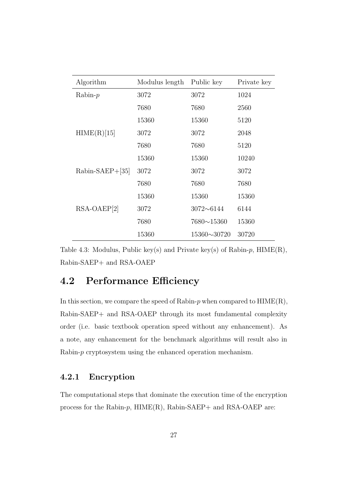| Algorithm          | Modulus length | Public key        | Private key |
|--------------------|----------------|-------------------|-------------|
| $Rabin-p$          | 3072           | 3072              | 1024        |
|                    | 7680           | 7680              | 2560        |
|                    | 15360          | 15360             | 5120        |
| HIME(R)[15]        | 3072           | 3072              | 2048        |
|                    | 7680           | 7680              | 5120        |
|                    | 15360          | 15360             | 10240       |
| $Rabin-SAEP+ [35]$ | 3072           | 3072              | 3072        |
|                    | 7680           | 7680              | 7680        |
|                    | 15360          | 15360             | 15360       |
| $RSA-OAEP[2]$      | 3072           | $3072 - 6144$     | 6144        |
|                    | 7680           | $7680 \sim 15360$ | 15360       |
|                    | 15360          | 15360~30720       | 30720       |

<span id="page-33-2"></span>Table 4.3: Modulus, Public key(s) and Private key(s) of Rabin-p, HIME(R), Rabin-SAEP+ and RSA-OAEP

### <span id="page-33-0"></span>4.2 Performance Efficiency

In this section, we compare the speed of Rabin- $p$  when compared to  $HIME(R)$ , Rabin-SAEP+ and RSA-OAEP through its most fundamental complexity order (i.e. basic textbook operation speed without any enhancement). As a note, any enhancement for the benchmark algorithms will result also in Rabin-p cryptosystem using the enhanced operation mechanism.

#### <span id="page-33-1"></span>4.2.1 Encryption

The computational steps that dominate the execution time of the encryption process for the Rabin- $p$ ,  $HIME(R)$ , Rabin-SAEP+ and RSA-OAEP are: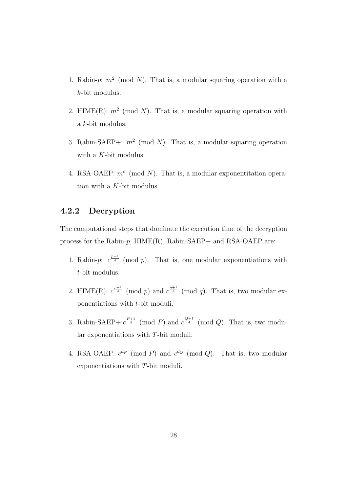- 1. Rabin-p:  $m^2 \pmod{N}$ . That is, a modular squaring operation with a k-bit modulus.
- 2. HIME(R):  $m^2 \pmod{N}$ . That is, a modular squaring operation with a k-bit modulus.
- 3. Rabin-SAEP+:  $m^2 \pmod{N}$ . That is, a modular squaring operation with a K-bit modulus.
- 4. RSA-OAEP:  $m^e \pmod{N}$ . That is, a modular exponentitation operation with a K-bit modulus.

#### <span id="page-34-0"></span>4.2.2 Decryption

The computational steps that dominate the execution time of the decryption process for the Rabin- $p$ ,  $HIME(R)$ , Rabin-SAEP+ and RSA-OAEP are:

- 1. Rabin-p:  $c^{\frac{p+1}{4}}$  (mod p). That is, one modular exponentiations with t-bit modulus.
- 2. HIME(R):  $c^{\frac{p+1}{4}}$  (mod p) and  $c^{\frac{q+1}{4}}$  (mod q). That is, two modular exponentiations with t-bit moduli.
- 3. Rabin-SAEP+: $c^{\frac{P+1}{4}}$  (mod P) and  $c^{\frac{Q+1}{4}}$  (mod Q). That is, two modular exponentiations with T-bit moduli.
- 4. RSA-OAEP:  $c^{dp} \pmod{P}$  and  $c^{dq} \pmod{Q}$ . That is, two modular exponentiations with T-bit moduli.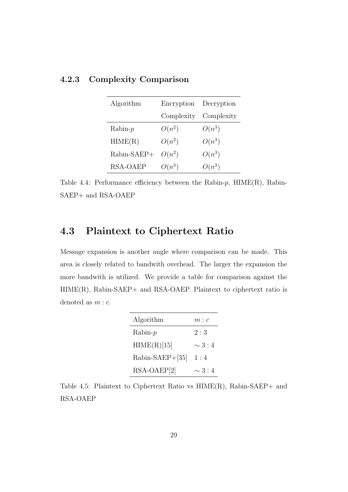| Algorithm            | Encryption Decryption |                       |
|----------------------|-----------------------|-----------------------|
|                      |                       | Complexity Complexity |
| $Rabin-p$            | $O(n^2)$              | $O(n^3)$              |
| HIME(R)              | $O(n^2)$              | $O(n^3)$              |
| Rabin-SAEP+ $O(n^2)$ |                       | $O(n^3)$              |
| <b>RSA-OAEP</b>      | $O(n^3)$              | $O(n^3)$              |

#### <span id="page-35-0"></span>4.2.3 Complexity Comparison

<span id="page-35-2"></span>Table 4.4: Performance efficiency between the Rabin- $p$ , HIME(R), Rabin-SAEP+ and RSA-OAEP

### <span id="page-35-1"></span>4.3 Plaintext to Ciphertext Ratio

Message expansion is another angle where comparison can be made. This area is closely related to bandwith overhead. The larger the expansion the more bandwith is utilized. We provide a table for comparison against the  $HIME(R)$ , Rabin-SAEP+ and RSA-OAEP. Plaintext to ciphertext ratio is denoted as  $m : c$ .

| Algorithm       | m : c        |
|-----------------|--------------|
| $Rabin-p$       | 2:3          |
| HIME(R)[15]     | $\sim$ 3 : 4 |
| Rabin-SAEP+[35] | 1:4          |
| RSA-OAEP[2]     | $\sim$ 3 : 4 |

<span id="page-35-3"></span>Table 4.5: Plaintext to Ciphertext Ratio vs HIME(R), Rabin-SAEP+ and RSA-OAEP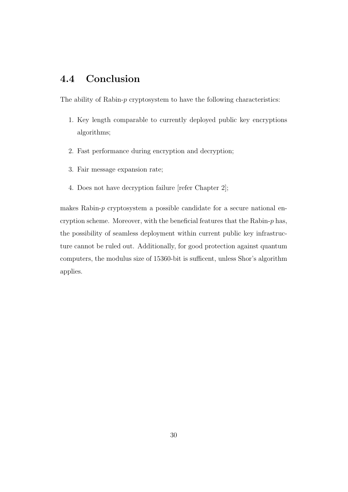# 4.4 Conclusion

The ability of Rabin-p cryptosystem to have the following characteristics:

- 1. Key length comparable to currently deployed public key encryptions algorithms;
- 2. Fast performance during encryption and decryption;
- 3. Fair message expansion rate;
- 4. Does not have decryption failure [refer Chapter [2\]](#page-15-0);

makes Rabin-p cryptosystem a possible candidate for a secure national encryption scheme. Moreover, with the beneficial features that the Rabin- $p$  has, the possibility of seamless deployment within current public key infrastructure cannot be ruled out. Additionally, for good protection against quantum computers, the modulus size of 15360-bit is sufficent, unless Shor's algorithm applies.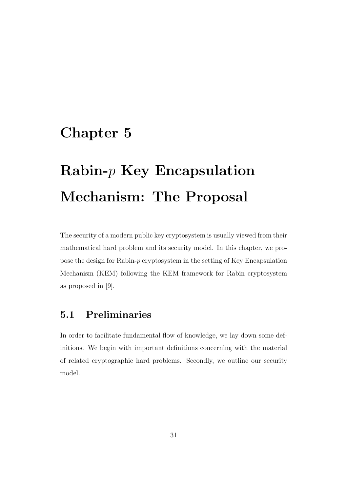# Chapter 5

# $Rabin-p$  Key Encapsulation Mechanism: The Proposal

The security of a modern public key cryptosystem is usually viewed from their mathematical hard problem and its security model. In this chapter, we propose the design for Rabin-p cryptosystem in the setting of Key Encapsulation Mechanism (KEM) following the KEM framework for Rabin cryptosystem as proposed in [\[9\]](#page-68-0).

# 5.1 Preliminaries

In order to facilitate fundamental flow of knowledge, we lay down some definitions. We begin with important definitions concerning with the material of related cryptographic hard problems. Secondly, we outline our security model.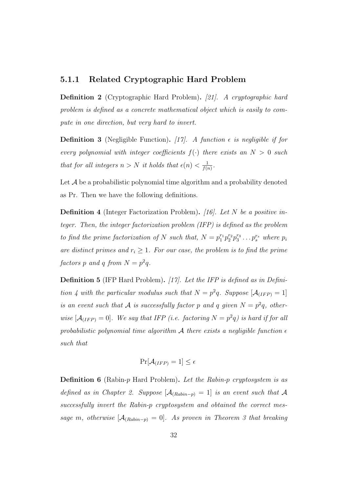# 5.1.1 Related Cryptographic Hard Problem

Definition 2 (Cryptographic Hard Problem). [\[21\]](#page-69-0). A cryptographic hard problem is defined as a concrete mathematical object which is easily to compute in one direction, but very hard to invert.

**Definition 3** (Negligible Function). [\[17\]](#page-69-1). A function  $\epsilon$  is negligible if for every polynomial with integer coefficients  $f(\cdot)$  there exists an  $N > 0$  such that for all integers  $n > N$  it holds that  $\epsilon(n) < \frac{1}{f(n)}$  $\frac{1}{f(n)}$ .

Let  $A$  be a probabilistic polynomial time algorithm and a probability denoted as Pr. Then we have the following definitions.

<span id="page-38-0"></span>**Definition 4** (Integer Factorization Problem). [\[16\]](#page-68-1). Let N be a positive integer. Then, the integer factorization problem (IFP) is defined as the problem to find the prime factorization of N such that,  $N = p_1^{r_1} p_2^{r_2} p_3^{r_3} \dots p_s^{r_s}$  where  $p_i$ are distinct primes and  $r_i \geq 1$ . For our case, the problem is to find the prime factors p and q from  $N = p^2q$ .

<span id="page-38-1"></span>**Definition 5** (IFP Hard Problem). [\[17\]](#page-69-1). Let the IFP is defined as in Defini-tion [4](#page-38-0) with the particular modulus such that  $N = p^2q$ . Suppose  $[\mathcal{A}_{(IFP)} = 1]$ is an event such that A is successfully factor p and q given  $N = p^2q$ , otherwise  $[A_{(IFP)} = 0]$ . We say that IFP (i.e. factoring  $N = p^2q$ ) is hard if for all probabilistic polynomial time algorithm A there exists a negligible function  $\epsilon$ such that

$$
\Pr[\mathcal{A}_{(IFP)} = 1] \le \epsilon
$$

**Definition 6** (Rabin-*p* Hard Problem). Let the Rabin-*p* cryptosystem is as defined as in Chapter [2.](#page-15-0) Suppose  $[\mathcal{A}_{(Rabin-p)} = 1]$  is an event such that A successfully invert the Rabin-p cryptosystem and obtained the correct message m, otherwise  $[A_{(Rabin-p)} = 0]$ . As proven in Theorem [3](#page-25-0) that breaking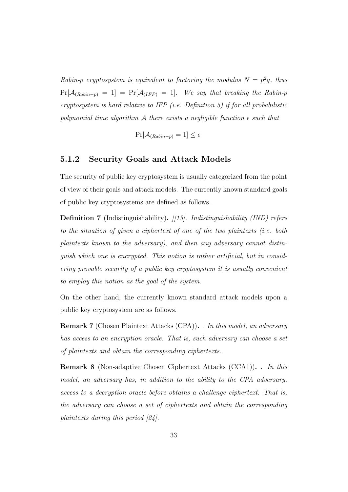Rabin-p cryptosystem is equivalent to factoring the modulus  $N = p^2q$ , thus  $Pr[\mathcal{A}_{(Rabin-p)} = 1] = Pr[\mathcal{A}_{(IFP)} = 1].$  We say that breaking the Rabin-p cryptosystem is hard relative to IFP (i.e. Definition [5\)](#page-38-1) if for all probabilistic polynomial time algorithm A there exists a negligible function  $\epsilon$  such that

$$
\Pr[\mathcal{A}_{(Rabin-p)} = 1] \le \epsilon
$$

#### 5.1.2 Security Goals and Attack Models

The security of public key cryptosystem is usually categorized from the point of view of their goals and attack models. The currently known standard goals of public key cryptosystems are defined as follows.

**Definition 7** (Indistinguishability).  $|/13|$ . Indistinguishability (IND) refers to the situation of given a ciphertext of one of the two plaintexts (i.e. both plaintexts known to the adversary), and then any adversary cannot distinguish which one is encrypted. This notion is rather artificial, but in considering provable security of a public key cryptosystem it is usually convenient to employ this notion as the goal of the system.

On the other hand, the currently known standard attack models upon a public key cryptosystem are as follows.

Remark 7 (Chosen Plaintext Attacks (CPA)). . In this model, an adversary has access to an encryption oracle. That is, such adversary can choose a set of plaintexts and obtain the corresponding ciphertexts.

Remark 8 (Non-adaptive Chosen Ciphertext Attacks (CCA1)). . In this model, an adversary has, in addition to the ability to the CPA adversary, access to a decryption oracle before obtains a challenge ciphertext. That is, the adversary can choose a set of ciphertexts and obtain the corresponding plaintexts during this period [\[24\]](#page-69-2).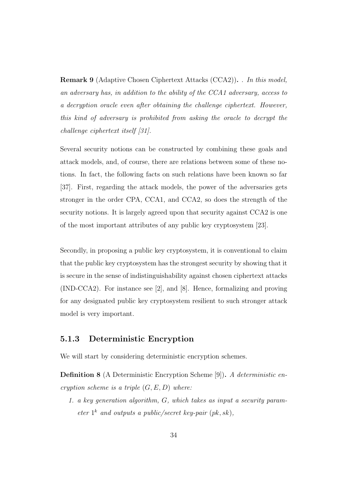Remark 9 (Adaptive Chosen Ciphertext Attacks (CCA2)). . In this model, an adversary has, in addition to the ability of the CCA1 adversary, access to a decryption oracle even after obtaining the challenge ciphertext. However, this kind of adversary is prohibited from asking the oracle to decrypt the challenge ciphertext itself [\[31\]](#page-70-0).

Several security notions can be constructed by combining these goals and attack models, and, of course, there are relations between some of these notions. In fact, the following facts on such relations have been known so far [\[37\]](#page-71-0). First, regarding the attack models, the power of the adversaries gets stronger in the order CPA, CCA1, and CCA2, so does the strength of the security notions. It is largely agreed upon that security against CCA2 is one of the most important attributes of any public key cryptosystem [\[23\]](#page-69-3).

Secondly, in proposing a public key cryptosystem, it is conventional to claim that the public key cryptosystem has the strongest security by showing that it is secure in the sense of indistinguishability against chosen ciphertext attacks (IND-CCA2). For instance see [\[2\]](#page-67-0), and [\[8\]](#page-68-3). Hence, formalizing and proving for any designated public key cryptosystem resilient to such stronger attack model is very important.

# 5.1.3 Deterministic Encryption

We will start by considering deterministic encryption schemes.

Definition 8 (A Deterministic Encryption Scheme [\[9\]](#page-68-0)). A deterministic encryption scheme is a triple  $(G, E, D)$  where:

1. a key generation algorithm, G, which takes as input a security parameter  $1^k$  and outputs a public/secret key-pair  $(pk, sk)$ ,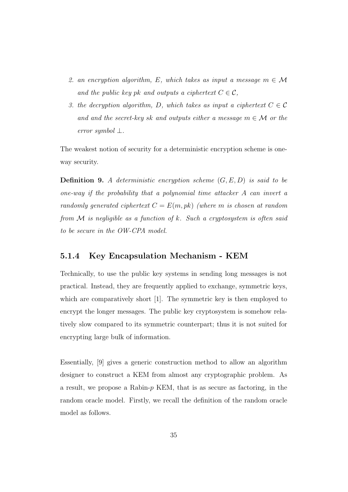- 2. an encryption algorithm, E, which takes as input a message  $m \in \mathcal{M}$ and the public key pk and outputs a ciphertext  $C \in \mathcal{C}$ ,
- 3. the decryption algorithm, D, which takes as input a ciphertext  $C \in \mathcal{C}$ and and the secret-key sk and outputs either a message  $m \in \mathcal{M}$  or the error symbol ⊥.

The weakest notion of security for a deterministic encryption scheme is oneway security.

<span id="page-41-0"></span>**Definition 9.** A deterministic encryption scheme  $(G, E, D)$  is said to be one-way if the probability that a polynomial time attacker A can invert a randomly generated ciphertext  $C = E(m, pk)$  (where m is chosen at random from  $\mathcal M$  is negligible as a function of k. Such a cryptosystem is often said to be secure in the OW-CPA model.

### 5.1.4 Key Encapsulation Mechanism - KEM

Technically, to use the public key systems in sending long messages is not practical. Instead, they are frequently applied to exchange, symmetric keys, which are comparatively short [\[1\]](#page-67-1). The symmetric key is then employed to encrypt the longer messages. The public key cryptosystem is somehow relatively slow compared to its symmetric counterpart; thus it is not suited for encrypting large bulk of information.

Essentially, [\[9\]](#page-68-0) gives a generic construction method to allow an algorithm designer to construct a KEM from almost any cryptographic problem. As a result, we propose a Rabin- $p$  KEM, that is as secure as factoring, in the random oracle model. Firstly, we recall the definition of the random oracle model as follows.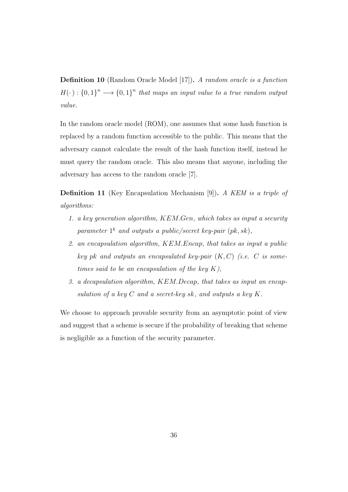Definition 10 (Random Oracle Model [\[17\]](#page-69-1)). A random oracle is a function  $H(\cdot): \{0,1\}^n \longrightarrow \{0,1\}^n$  that maps an input value to a true random output value.

In the random oracle model (ROM), one assumes that some hash function is replaced by a random function accessible to the public. This means that the adversary cannot calculate the result of the hash function itself, instead he must query the random oracle. This also means that anyone, including the adversary has access to the random oracle [\[7\]](#page-68-4).

Definition 11 (Key Encapsulation Mechanism [\[9\]](#page-68-0)). A KEM is a triple of algorithms:

- 1. a key generation algorithm, KEM.Gen, which takes as input a security parameter  $1^k$  and outputs a public/secret key-pair  $(pk, sk)$ ,
- 2. an encapsulation algorithm, KEM.Encap, that takes as input a public key pk and outputs an encapsulated key-pair  $(K, C)$  (i.e. C is sometimes said to be an encapsulation of the key  $K$ ),
- 3. a decapsulation algorithm, KEM.Decap, that takes as input an encapsulation of a key  $C$  and a secret-key sk, and outputs a key  $K$ .

We choose to approach provable security from an asymptotic point of view and suggest that a scheme is secure if the probability of breaking that scheme is negligible as a function of the security parameter.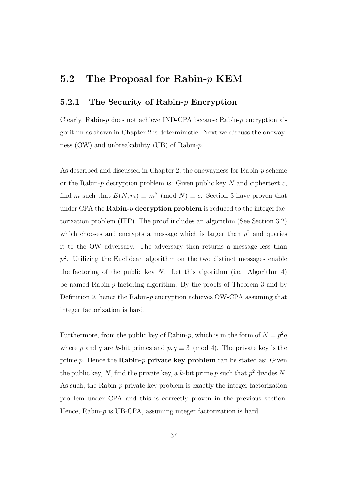# 5.2 The Proposal for Rabin- $p$  KEM

# 5.2.1 The Security of Rabin-p Encryption

Clearly, Rabin- $p$  does not achieve IND-CPA because Rabin- $p$  encryption algorithm as shown in Chapter [2](#page-15-0) is deterministic. Next we discuss the onewayness (OW) and unbreakability (UB) of Rabin-p.

As described and discussed in Chapter [2,](#page-15-0) the onewayness for Rabin-p scheme or the Rabin- $p$  decryption problem is: Given public key  $N$  and ciphertext  $c$ , find m such that  $E(N,m) \equiv m^2 \pmod{N} \equiv c$ . Section [3](#page-22-0) have proven that under CPA the Rabin- $p$  decryption problem is reduced to the integer factorization problem (IFP). The proof includes an algorithm (See Section [3.2\)](#page-25-1) which chooses and encrypts a message which is larger than  $p^2$  and queries it to the OW adversary. The adversary then returns a message less than  $p<sup>2</sup>$ . Utilizing the Euclidean algorithm on the two distinct messages enable the factoring of the public key N. Let this algorithm (i.e. Algorithm [4\)](#page-24-0) be named Rabin- $p$  factoring algorithm. By the proofs of Theorem [3](#page-25-0) and by Definition [9,](#page-41-0) hence the Rabin- $p$  encryption achieves OW-CPA assuming that integer factorization is hard.

Furthermore, from the public key of Rabin-p, which is in the form of  $N = p^2q$ where p and q are k-bit primes and  $p, q \equiv 3 \pmod{4}$ . The private key is the prime  $p$ . Hence the Rabin- $p$  private key problem can be stated as: Given the public key, N, find the private key, a k-bit prime p such that  $p^2$  divides N. As such, the Rabin- $p$  private key problem is exactly the integer factorization problem under CPA and this is correctly proven in the previous section. Hence, Rabin-p is UB-CPA, assuming integer factorization is hard.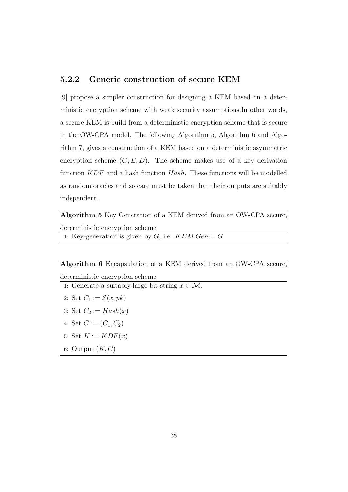# <span id="page-44-2"></span>5.2.2 Generic construction of secure KEM

[\[9\]](#page-68-0) propose a simpler construction for designing a KEM based on a deterministic encryption scheme with weak security assumptions.In other words, a secure KEM is build from a deterministic encryption scheme that is secure in the OW-CPA model. The following Algorithm [5,](#page-44-0) Algorithm [6](#page-44-1) and Algorithm [7,](#page-45-0) gives a construction of a KEM based on a deterministic asymmetric encryption scheme  $(G, E, D)$ . The scheme makes use of a key derivation function  $KDF$  and a hash function  $Hash$ . These functions will be modelled as random oracles and so care must be taken that their outputs are suitably independent.

<span id="page-44-0"></span>Algorithm 5 Key Generation of a KEM derived from an OW-CPA secure, deterministic encryption scheme 1: Key-generation is given by  $G$ , i.e.  $\overline{KEM}$ .  $Gen = G$ 

<span id="page-44-1"></span>Algorithm 6 Encapsulation of a KEM derived from an OW-CPA secure, deterministic encryption scheme

- 1: Generate a suitably large bit-string  $x \in \mathcal{M}$ .
- 2: Set  $C_1 := \mathcal{E}(x, pk)$
- 3: Set  $C_2 := Hash(x)$
- 4: Set  $C := (C_1, C_2)$
- 5: Set  $K := KDF(x)$
- 6: Output  $(K, C)$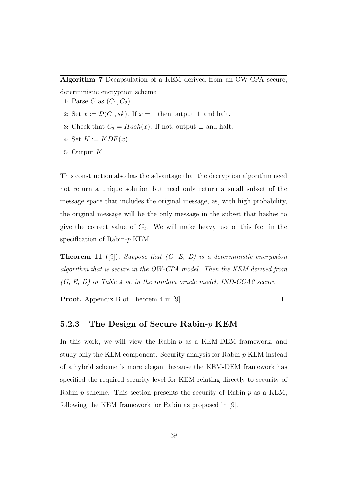<span id="page-45-0"></span>Algorithm 7 Decapsulation of a KEM derived from an OW-CPA secure, deterministic encryption scheme

- 1: Parse C as  $(C_1, C_2)$ .
- 2: Set  $x := \mathcal{D}(C_1, sk)$ . If  $x = \perp$  then output  $\perp$  and halt.
- 3: Check that  $C_2 = Hash(x)$ . If not, output  $\perp$  and halt.
- 4: Set  $K := KDF(x)$
- 5: Output K

This construction also has the advantage that the decryption algorithm need not return a unique solution but need only return a small subset of the message space that includes the original message, as, with high probability, the original message will be the only message in the subset that hashes to give the correct value of  $C_2$ . We will make heavy use of this fact in the speciflcation of Rabin-p KEM.

<span id="page-45-1"></span>**Theorem 11** ([\[9\]](#page-68-0)). Suppose that  $(G, E, D)$  is a deterministic encryption algorithm that is secure in the OW-CPA model. Then the KEM derived from  $(G, E, D)$  in Table 4 is, in the random oracle model, IND-CCA2 secure.

**Proof.** Appendix B of Theorem 4 in [\[9\]](#page-68-0)

 $\Box$ 

#### <span id="page-45-2"></span>5.2.3 The Design of Secure Rabin-p KEM

In this work, we will view the Rabin- $p$  as a KEM-DEM framework, and study only the KEM component. Security analysis for Rabin-p KEM instead of a hybrid scheme is more elegant because the KEM-DEM framework has specified the required security level for KEM relating directly to security of Rabin- $p$  scheme. This section presents the security of Rabin- $p$  as a KEM, following the KEM framework for Rabin as proposed in [\[9\]](#page-68-0).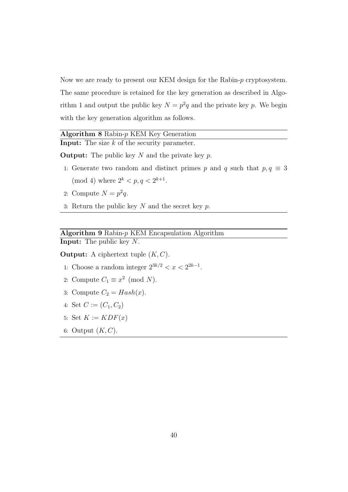Now we are ready to present our KEM design for the Rabin-p cryptosystem. The same procedure is retained for the key generation as described in Algo-rithm [1](#page-16-0) and output the public key  $N = p^2q$  and the private key p. We begin with the key generation algorithm as follows.

# <span id="page-46-0"></span>Algorithm 8 Rabin-p KEM Key Generation

**Input:** The size  $k$  of the security parameter.

**Output:** The public key  $N$  and the private key  $p$ .

- 1: Generate two random and distinct primes p and q such that  $p, q \equiv 3$ (mod 4) where  $2^k < p, q < 2^{k+1}$ .
- 2: Compute  $N = p^2 q$ .
- 3: Return the public key  $N$  and the secret key  $p$ .

## <span id="page-46-1"></span>Algorithm 9 Rabin-p KEM Encapsulation Algorithm Input: The public key N.

**Output:** A ciphertext tuple  $(K, C)$ .

- 1: Choose a random integer  $2^{3k/2} < x < 2^{2k-1}$ .
- 2: Compute  $C_1 \equiv x^2 \pmod{N}$ .
- 3: Compute  $C_2 = Hash(x)$ .
- 4: Set  $C := (C_1, C_2)$
- 5: Set  $K := KDF(x)$
- 6: Output  $(K, C)$ .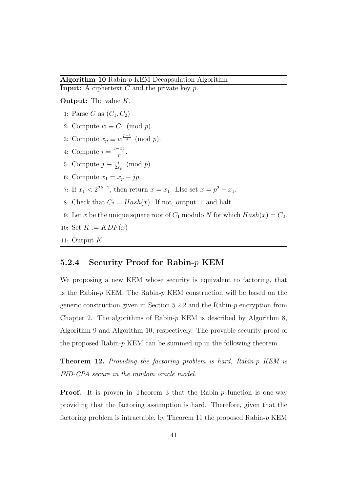#### <span id="page-47-0"></span>Algorithm 10 Rabin-p KEM Decapsulation Algorithm

**Input:** A ciphertext  $C$  and the private key  $p$ .

**Output:** The value  $K$ .

- 1: Parse C as  $(C_1, C_2)$
- 2: Compute  $w \equiv C_1 \pmod{p}$ .
- 3: Compute  $x_p \equiv w^{\frac{p+1}{4}} \pmod{p}$ .
- 4: Compute  $i = \frac{c x_p^2}{p}$ .
- 5: Compute  $j \equiv \frac{i}{2\pi}$  $\frac{i}{2x_p}$  (mod p).
- 6: Compute  $x_1 = x_p + jp$ .
- 7: If  $x_1 < 2^{2k-1}$ , then return  $x = x_1$ . Else set  $x = p^2 x_1$ .
- 8: Check that  $C_2 = Hash(x)$ . If not, output  $\perp$  and halt.
- 9: Let x be the unique square root of  $C_1$  modulo N for which  $Hash(x) = C_2$ .
- 10: Set  $K := KDF(x)$
- 11: Output  $K$ .

### 5.2.4 Security Proof for Rabin-p KEM

We proposing a new KEM whose security is equivalent to factoring, that is the Rabin- $p$  KEM. The Rabin- $p$  KEM construction will be based on the generic construction given in Section  $5.2.2$  and the Rabin- $p$  encryption from Chapter [2.](#page-15-0) The algorithms of Rabin- $p$  KEM is described by Algorithm [8,](#page-46-0) Algorithm [9](#page-46-1) and Algorithm [10,](#page-47-0) respectively. The provable security proof of the proposed Rabin- $p$  KEM can be summed up in the following theorem.

Theorem 12. Providing the factoring problem is hard, Rabin-p KEM is IND-CPA secure in the random oracle model.

**Proof.** It is proven in Theorem [3](#page-25-0) that the Rabin- $p$  function is one-way providing that the factoring assumption is hard. Therefore, given that the factoring problem is intractable, by Theorem [11](#page-45-1) the proposed Rabin-p KEM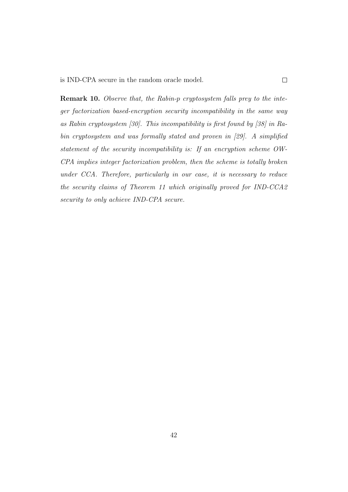Remark 10. Observe that, the Rabin-p cryptosystem falls prey to the integer factorization based-encryption security incompatibility in the same way as Rabin cryptosystem [\[30\]](#page-70-1). This incompatibility is first found by [\[38\]](#page-71-1) in Rabin cryptosystem and was formally stated and proven in [\[29\]](#page-70-2). A simplified statement of the security incompatibility is: If an encryption scheme OW-CPA implies integer factorization problem, then the scheme is totally broken under CCA. Therefore, particularly in our case, it is necessary to reduce the security claims of Theorem [11](#page-45-1) which originally proved for IND-CCA2 security to only achieve IND-CPA secure.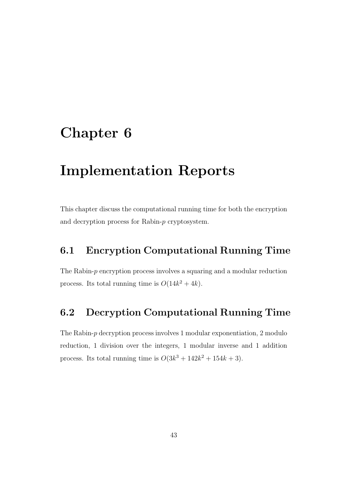# Chapter 6

# Implementation Reports

This chapter discuss the computational running time for both the encryption and decryption process for Rabin-p cryptosystem.

# 6.1 Encryption Computational Running Time

The Rabin-p encryption process involves a squaring and a modular reduction process. Its total running time is  $O(14k^2 + 4k)$ .

# 6.2 Decryption Computational Running Time

The Rabin-p decryption process involves 1 modular exponentiation, 2 modulo reduction, 1 division over the integers, 1 modular inverse and 1 addition process. Its total running time is  $O(3k^3 + 142k^2 + 154k + 3)$ .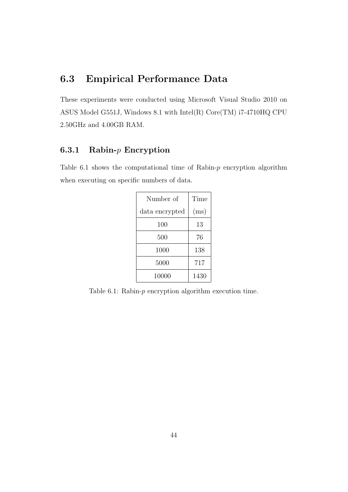# 6.3 Empirical Performance Data

These experiments were conducted using Microsoft Visual Studio 2010 on ASUS Model G551J, Windows 8.1 with Intel(R) Core(TM) i7-4710HQ CPU 2.50GHz and 4.00GB RAM.

# 6.3.1 Rabin- $p$  Encryption

Table  $6.1$  shows the computational time of Rabin- $p$  encryption algorithm when executing on specific numbers of data.

| Number of      | Time |
|----------------|------|
| data encrypted | (ms) |
| 100            | 13   |
| 500            | 76   |
| 1000           | 138  |
| 5000           | 717  |
| 10000          | 1430 |

<span id="page-50-0"></span>Table  $6.1$ : Rabin- $p$  encryption algorithm execution time.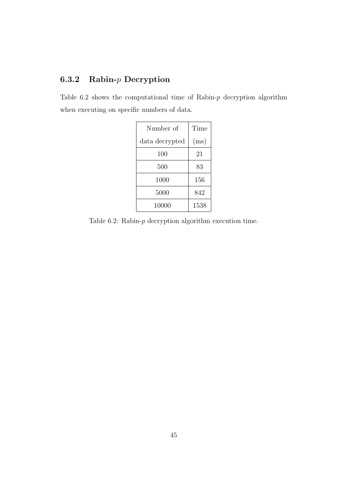# 6.3.2 Rabin-p Decryption

Table  $6.2$  shows the computational time of Rabin- $p$  decryption algorithm when executing on specific numbers of data.

| Number of      | Time |
|----------------|------|
| data decrypted | (ms) |
| 100            | 21   |
| 500            | 83   |
| 1000           | 156  |
| 5000           | 842  |
| 10000          | 1538 |

<span id="page-51-0"></span>Table 6.2: Rabin- $p$  decryption algorithm execution time.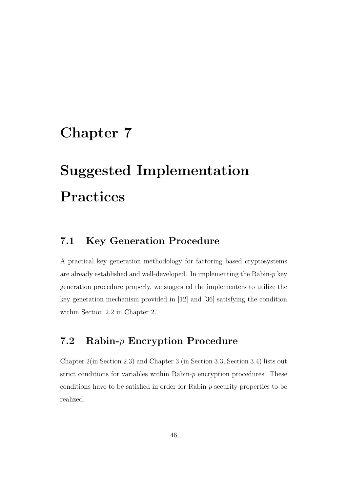# Chapter 7

# Suggested Implementation Practices

# 7.1 Key Generation Procedure

A practical key generation methodology for factoring based cryptosystems are already established and well-developed. In implementing the Rabin- $p$  key generation procedure properly, we suggested the implementers to utilize the key generation mechanism provided in [\[12\]](#page-68-5) and [\[36\]](#page-71-2) satisfying the condition within Section [2.2](#page-16-1) in Chapter [2.](#page-15-0)

# 7.2 Rabin-p Encryption Procedure

Chapter [2\(](#page-15-0)in Section [2.3\)](#page-16-2) and Chapter [3](#page-22-0) (in Section [3.3,](#page-26-0) Section [3.4\)](#page-28-0) lists out strict conditions for variables within Rabin- $p$  encryption procedures. These conditions have to be satisfied in order for Rabin-p security properties to be realized.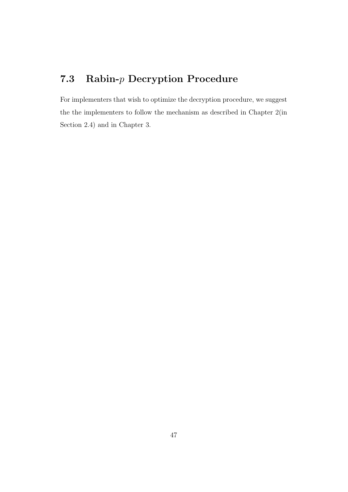# 7.3 Rabin-p Decryption Procedure

For implementers that wish to optimize the decryption procedure, we suggest the the implementers to follow the mechanism as described in Chapter [2\(](#page-15-0)in Section [2.4\)](#page-17-0) and in Chapter [3.](#page-22-0)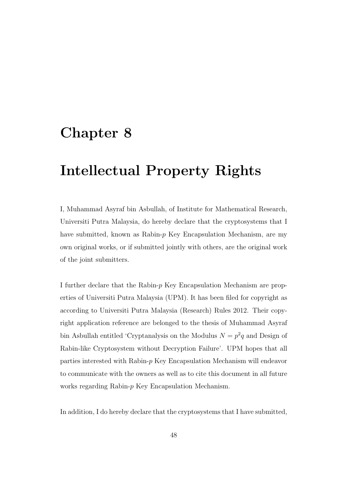# Chapter 8

# Intellectual Property Rights

I, Muhammad Asyraf bin Asbullah, of Institute for Mathematical Research, Universiti Putra Malaysia, do hereby declare that the cryptosystems that I have submitted, known as Rabin- $p$  Key Encapsulation Mechanism, are my own original works, or if submitted jointly with others, are the original work of the joint submitters.

I further declare that the Rabin-p Key Encapsulation Mechanism are properties of Universiti Putra Malaysia (UPM). It has been filed for copyright as according to Universiti Putra Malaysia (Research) Rules 2012. Their copyright application reference are belonged to the thesis of Muhammad Asyraf bin Asbullah entitled 'Cryptanalysis on the Modulus  $N = p^2q$  and Design of Rabin-like Cryptosystem without Decryption Failure'. UPM hopes that all parties interested with Rabin-p Key Encapsulation Mechanism will endeavor to communicate with the owners as well as to cite this document in all future works regarding Rabin-p Key Encapsulation Mechanism.

In addition, I do hereby declare that the cryptosystems that I have submitted,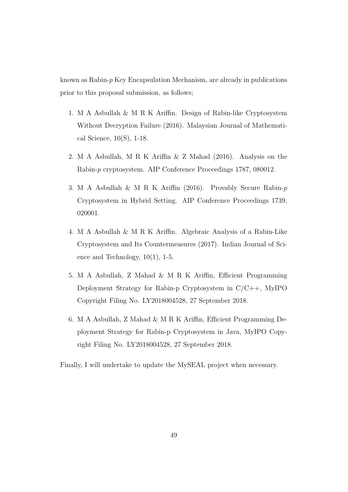known as Rabin-p Key Encapsulation Mechanism, are already in publications prior to this proposal submission, as follows;

- 1. M A Asbullah & M R K Ariffin. Design of Rabin-like Cryptosystem Without Decryption Failure (2016). Malaysian Journal of Mathematical Science, 10(S), 1-18.
- 2. M A Asbullah, M R K Ariffin & Z Mahad (2016). Analysis on the Rabin-p cryptosystem. AIP Conference Proceedings 1787, 080012.
- 3. M A Asbullah & M R K Ariffin (2016). Provably Secure Rabin-p Cryptosystem in Hybrid Setting. AIP Conference Proceedings 1739, 020001.
- 4. M A Asbullah & M R K Ariffin. Algebraic Analysis of a Rabin-Like Cryptosystem and Its Countermeasures (2017). Indian Journal of Science and Technology, 10(1), 1-5.
- 5. M A Asbullah, Z Mahad & M R K Ariffin, Efficient Programming Deployment Strategy for Rabin-p Cryptosystem in C/C++, MyIPO Copyright Filing No. LY2018004528, 27 September 2018.
- 6. M A Asbullah, Z Mahad & M R K Ariffin, Efficient Programming Deployment Strategy for Rabin-p Cryptosystem in Java, MyIPO Copyright Filing No. LY2018004528, 27 September 2018.

Finally, I will undertake to update the MySEAL project when necessary.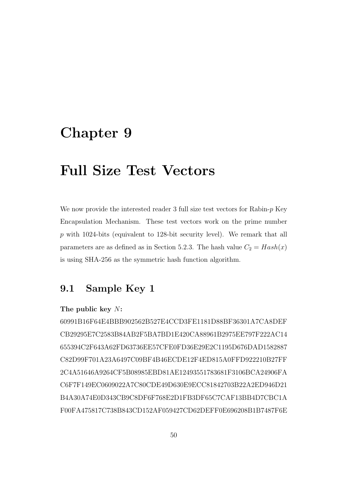# Chapter 9

# Full Size Test Vectors

We now provide the interested reader 3 full size test vectors for Rabin- $p$  Key Encapsulation Mechanism. These test vectors work on the prime number p with 1024-bits (equivalent to 128-bit security level). We remark that all parameters are as defined as in Section [5.2.3.](#page-45-2) The hash value  $C_2 = Hash(x)$ is using SHA-256 as the symmetric hash function algorithm.

# 9.1 Sample Key 1

#### The public key N:

60991B16F64E4BBB902562B527E4CCD3FE1181D88BF36301A7CA8DEF CB29295E7C2583B84AB2F5BA7BD1E420CA88961B2975EE797F222AC14 655394C2F643A62FD63736EE57CFE0FD36E29E2C1195D676DAD1582887 C82D99F701A23A6497C09BF4B46ECDE12F4ED815A0FFD922210B27FF 2C4A51646A9264CF5B08985EBD81AE12493551783681F3106BCA24906FA C6F7F149EC0609022A7C80CDE49D630E9ECC81842703B22A2ED946D21 B4A30A74E0D343CB9C8DF6F768E2D1FB3DF65C7CAF13BB4D7CBC1A F00FA475817C738B843CD152AF059427CD62DEFF0E696208B1B7487F6E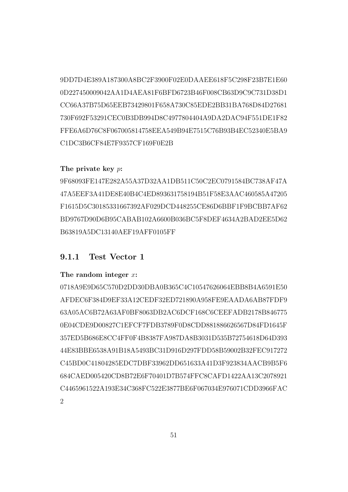9DD7D4E389A187300A8BC2F3900F02E0DAAEE618F5C298F23B7E1E60 0D227450009042AA1D4AEA81F6BFD6723B46F008CB63D9C9C731D38D1 CC66A37B75D65EEB73429801F658A730C85EDE2BB31BA768D84D27681 730F692F53291CEC0B3DB994D8C4977804404A9DA2DAC94F551DE1F82 FFE6A6D76C8F067005814758EEA549B94E7515C76B93B4EC52340E5BA9 C1DC3B6CF84E7F9357CF169F0E2B

# The private key p:

9F68093FE147E282A55A37D32AA1DB511C50C2EC0791584BC738AF47A 47A5EEF3A41DE8E40B4C4ED893631758194B51F58E3AAC460585A47205 F1615D5C30185331667392AF029DCD448255CE86D6BBF1F9BCBB7AF62 BD9767D90D6B95CABAB102A6600B036BC5F8DEF4634A2BAD2EE5D62 B63819A5DC13140AEF19AFF0105FF

# 9.1.1 Test Vector 1

#### The random integer  $x$ :

0718A9E9D65C570D2DD30DBA0B365C4C10547626064EBB8B4A6591E50 AFDEC6F384D9EF33A12CEDF32ED721890A958FE9EAADA6AB87FDF9 63A05AC6B72A63AF0BF8063DB2AC6DCF168C6CEEFADB2178B846775 0E04CDE9D00827C1EFCF7FDB3789F0D8CDD881886626567D84FD1645F 357ED5B686E8CC4FF0F4B8387FA987DA8B3031D535B72754618D64D393 44E83BBE6538A91B18A5493BC31D916D297FDD58B59002B32FEC917272 C45BD0C41804285EDC7DBF33962DD651633A41D3F923834AACB9B5F6 684CAED005420CD8B72E6F70401D7B574FFC8CAFD1422AA13C2078921 C4465961522A193E34C368FC522E3877BE6F067034E976071CDD3966FAC  $\mathfrak{D}$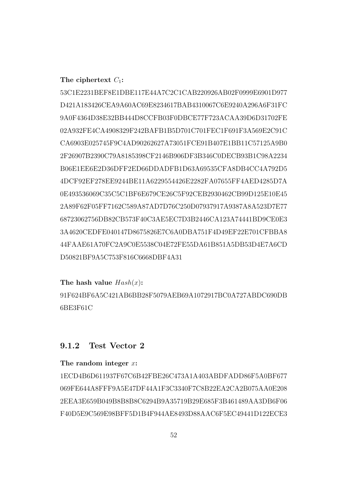# The ciphertext  $C_1$ :

53C1E2231BEF8E1DBE117E44A7C2C1CAB220926AB02F0999E6901D977 D421A183426CEA9A60AC69E8234617BAB4310067C6E9240A296A6F31FC 9A0F4364D38E32BB444D8CCFB03F0DBCE77F723ACAA39D6D31702FE 02A932FE4CA4908329F242BAFB1B5D701C701FEC1F691F3A569E2C91C CA6903E025745F9C4AD90262627A73051FCE91B407E1BB11C57125A9B0 2F26907B2390C79A8185398CF2146B906DF3B346C0DECB93B1C98A2234 B06E1EE6E2D36DFF2ED66DDADFB1D63A69535CFA8DB4CC4A792D5 4DCF92EF278EE9244BE11A6229554426E2282FA07655FF4AED4285D7A 0E493536069C35C5C1BF6E679CE26C5F92CEB2930462CB99D125E10E45 2A89F62F05FF7162C589A87AD7D76C250D07937917A9387A8A523D7E77 68723062756DB82CB573F40C3AE5EC7D3B2446CA123A74441BD9CE0E3 3A4620CEDFE040147D8675826E7C6A0DBA751F4D49EF22E701CFBBA8 44FAAE61A70FC2A9C0E5538C04E72FE55DA61B851A5DB53D4E7A6CD D50821BF9A5C753F816C6668DBF4A31

### The hash value  $Hash(x)$ :

91F624BF6A5C421AB6BB28F5079AEB69A1072917BC0A727ABDC690DB 6BE3F61C

# 9.1.2 Test Vector 2

## The random integer  $x$ :

1ECD4B6D611937F67C6B42FBE26C473A1A403ABDFADD86F5A0BF677 069FE644A8FFF9A5E47DF44A1F3C3340F7C8B22EA2CA2B075AA0E208 2EEA3E659B049B8B8B8C6294B9A35719B29E685F3B461489AA3DB6F06 F40D5E9C569E98BFF5D1B4F944AE8493D88AAC6F5EC49441D122ECE3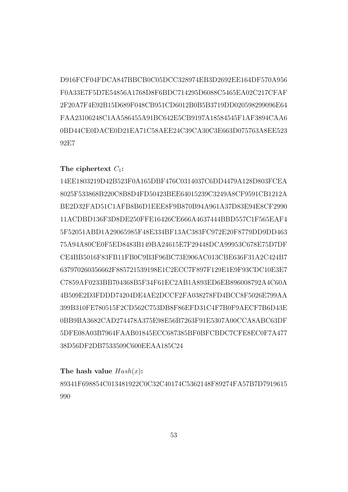D916FCF04FDCA847BBCB0C05DCC328974EB3D2692EE164DF570A956 F0A33E7F5D7E54856A1768D8F6BDC714295D6088C5465EA02C217CFAF 2F20A7F4E92B15D689F048CB951CD6012B0B5B3719DD020598299096E64 FAA23106248C1AA586455A91BC642E5CB9197A18584545F1AF3894CAA6 0BD44CE0DACE0D21EA71C58AEE24C39CA30C3E663D075763A8EE523 92E7

# The ciphertext  $C_1$ :

14EE1803219D42B523F0A165DBF476C0314037C6DD4479A128D803FCEA 8025F533868B220C8B8D4FD50423BEE64015239C3249A8CF9591CB1212A BE2D32FAD51C1AFB8B6D1EEE8F9B870B94A961A37D83E94E8CF2990 11ACDBD136F3D8DE250FFE16426CE666A4637444BBD557C1F565EAF4 5F52051ABD1A29065985F48E334BF13AC383FC972E20F8779DD9DD463 75A94A80CE0F5ED8483B149BA24615E7F29448DCA99953C678E75D7DF CE4BB5016F83FB11FB0C9B3F96BC73E906AC013CBE636F31A2C424B7 637970260356662F885721539198E1C2ECC7F897F129E1E9F93CDC10E3E7 C7859AF0233BB704368B5F34F61EC2AB1A893ED6EB896008792A4C60A 4B509E2D3FDDD74204DE4AE2DCCF2FA038278FD4BCC8F5026E799AA 399B310FE780515F2CD562C753DB8F86EFD31C4F7B0F9AECF7B6D43E 0BB9BA3682CAD274478A375E98E56B7263F91E5307A00CCA8ABC63DF 5DFE08A03B7964FAAB01845ECC687385BF0BFCBDC7CFE8EC0F7A477 38D56DF2DB7533509C600EEAA185C24

The hash value  $Hash(x)$ :

89341F698854C013481922C0C32C40174C5362148F89274FA57B7D7919615 990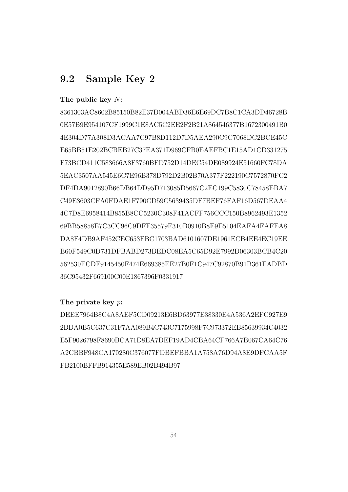# 9.2 Sample Key 2

# The public key N:

8361303AC8602B85150B82E37D004ABD36E6E69DC7B8C1CA3DD46728B 0E57B9E954107CF1999C1E8AC5C2EE2F2B21A864546377B1672300491B0 4E304D77A308D3ACAA7C97B8D112D7D5AEA290C9C7068DC2BCE45C E65BB51E202BCBEB27C37EA371D969CFB0EAEFBC1E15AD1CD331275 F73BCD411C583666A8F3760BFD752D14DEC54DE089924E51660FC78DA 5EAC3507AA545E6C7E96B378D792D2B02B70A377F222190C7572870FC2 DF4DA9012890B66DB64DD95D713085D5667C2EC199C5830C78458EBA7 C49E3603CFA0FDAE1F790CD59C5639435DF7BEF76FAF16D567DEAA4 4C7D8E6958414B855B8CC5230C308F41ACFF756CCC150B8962493E1352 69BB58858E7C3CC96C9DFF35579F310B0910B8E9E5104EAFA4FAFEA8 DA8F4DB9AF452CEC653FBC1703BAD6101607DE1961ECB4EE4EC19EE B60F549C0D731DFBABD273BEDC08EA5C65D92E7992D06303BCB4C20 562530ECDF9145450F474E669385EE27B0F1C947C92870B91B361FADBD 36C95432F669100C00E1867396F0331917

#### The private key p:

DEEE7964B8C4A8AEF5CD09213E6BD63977E38330E4A536A2EFC927E9 2BDA0B5C637C31F7AA089B4C743C7175998F7C973372EB85639934C4032 E5F9026798F8690BCA71D8EA7DEF19AD4CBA64CF766A7B067CA64C76 A2CBBF948CA170280C376077FDBEFBBA1A758A76D94A8E9DFCAA5F FB2100BFFB914355E589EB02B494B97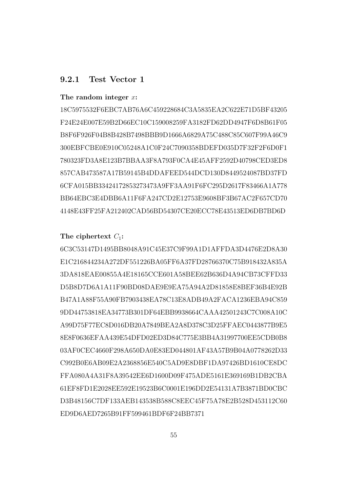# 9.2.1 Test Vector 1

#### The random integer  $x$ :

18C5975532F6EBC7AB76A6C459228684C3A5835EA2C622E71D5BF43205 F24E24E007E59B2D66EC10C159008259FA3182FD62DD4947F6D8B61F05 B8F6F926F04B8B428B7498BBB9D1666A6829A75C488C85C607F99A46C9 300EBFCBE0E910C05248A1C0F24C7090358BDEFD035D7F32F2F6D0F1 780323FD3A8E123B7BBAA3F8A793F0CA4E45AFF2592D40798CED3ED8 857CAB473587A17B59145B4DDAFEED544DCD130D8449524087BD37FD 6CFA015BB33424172853273473A9FF3AA91F6FC295D2617F83466A1A778 BB64EBC3E4DBB6A11F6FA247CD2E12753E9608BF3B67AC2F657CD70 4148E43FF25FA212402CAD56BD54307CE20ECC78E43513ED6DB7BD6D

#### The ciphertext  $C_1$ :

6C3C53147D1495BB8048A91C45E37C9F99A1D1AFFDA3D4476E2D8A30 E1C216844234A272DF551226BA05FF6A37FD28766370C75B918432A835A 3DA818EAE00855A4E18165CCE601A58BEE62B636D4A94CB73CFFD33 D5B8D7D6A1A11F90BD08DAE9E9EA75A94A2D81858E8BEF36B4E92B B47A1A88F55A90FB7903438EA78C13E8ADB49A2FACA1236EBA94C859 9DD44753818EA34773B301DF64EBB9938664CAAA42501243C7C008A10C A99D75F77EC8D016DB20A7849BEA2A8D378C3D25FFAEC0443877B9E5 8E8F0636EFAA439E54DFD02ED3D84C775E3BB4A31997700EE5CDB0B8 03AF0CEC4660F298A650DA0E83ED044801AF43A57B9B04A0778262D33 C992B0E6AB09E2A2368856E540C5AD9E8DBF1DA97426BD1610CE8DC FFA080A4A31F8A39542EE6D1600D09F475ADE5161E369169B1DB2CBA 61EF8FD1E2028EE592E19523B6C0001E196DD2E54131A7B3871BD0CBC D3B48156C7DF133AEB143538B588C8EEC45F75A78E2B528D453112C60 ED9D6AED7265B91FF599461BDF6F24BB7371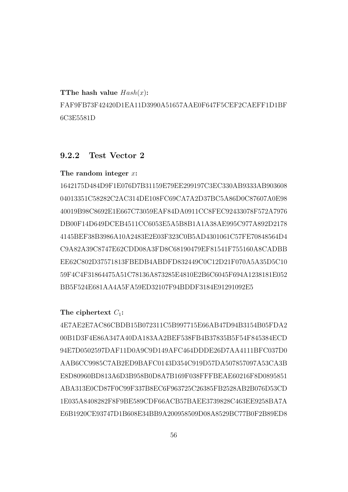TThe hash value  $Hash(x)$ :

FAF9FB73F42420D1EA11D3990A51657AAE0F647F5CEF2CAEFF1D1BF 6C3E5581D

# 9.2.2 Test Vector 2

# The random integer x:

1642175D484D9F1E076D7B31159E79EE299197C3EC330AB9333AB903608 04013351C58282C2AC314DE108FC69CA7A2D37BC5A86D0C87607A0E98 40019B98C8692E1E667C73059EAF84DA0911CC8FEC92433078F572A7976 DB00F14D649DCEB4511CC6053E5A5B8B1A1A38AE995C977A892D2178 4145BEF38B3986A10A2483E2E03F323C0B5AD4301061C57FE70848564D4 C9A82A39C8747E62CDD08A3FD8C68190479EF81541F755160A8CADBB EE62C802D37571813FBEDB4ABDFD832449C0C12D21F070A5A35D5C10 59F4C4F31864475A51C78136A873285E4810E2B6C6045F694A1238181E052 BB5F524E681AA4A5FA59ED32107F94BDDF3184E91291092E5

# The ciphertext  $C_1$ :

4E7AE2E7AC86CBDB15B072311C5B997715E66AB47D94B3154B05FDA2 00B1D3F4E86A347A40DA183AA2BEF538FB4B37835B5F54F845384ECD 94E7D0502597DAF11D0A9C9D149AFC464DDDE26D7AA4111BFC037D0 AAB6CC9985C7AB2ED9BAFC0143D354C919D57DA507857097A53CA3B E8D80960BD813A6D3B958B0D8A7B169F038FFFBEAE60216F8D0895851 ABA313E0CD87F0C99F337B8EC6F963725C26385FB2528AB2B076D53CD 1E035A8408282F8F9BE589CDF66ACB57BAEE3739828C463EE9258BA7A E6B1920CE93747D1B608E34BB9A200958509D08A8529BC77B0F2B89ED8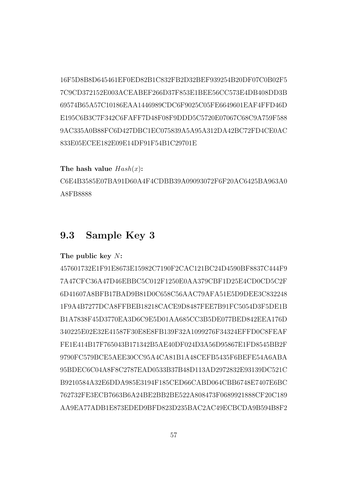16F5D8B8D645461EF0ED82B1C832FB2D32BEF939254B20DF07C0B02F5 7C9CD372152E003ACEABEF266D37F853E1BEE56CC573E4DB408DD3B 69574B65A57C10186EAA1446989CDC6F9025C05FE6649601EAF4FFD46D E195C6B3C7F342C6FAFF7D48F08F9DDD5C5720E07067C68C9A759F588 9AC335A0B88FC6D427DBC1EC075839A5A95A312DA42BC72FD4CE0AC 833E05ECEE182E09E14DF91F54B1C29701E

# The hash value  $Hash(x)$ :

C6E4B3585E07BA91D60A4F4CDBB39A09093072F6F20AC6425BA963A0 A8FB8888

# 9.3 Sample Key 3

#### The public key N:

457601732E1F91E8673E15982C7190F2CAC121BC24D4590BF8837C444F9 7A47CFC36A47D46EBBC5C012F1250E0AA379CBF1D25E4CD0CD5C2F 6D41607A8BFB17BAD9B81D0C658C56AAC79AFA51E5D9DEE3C832248 1F9A4B7277DCA8FFBEB18218CACE9D8487FEE7B91FC5054D3F5DE1B B1A7838F45D3770EA3D6C9E5D01AA685CC3B5DE077BED842EEA176D 340225E02E32E41587F30E8E8FB139F32A1099276F34324EFFD0C8FEAF FE1E414B17F765043B171342B5AE40DF024D3A56D95867E1FD8545BB2F 9790FC579BCE5AEE30CC95A4CA81B1A48CEFB5435F6BEFE54A6ABA 95BDEC6C04A8F8C2787EAD0533B37B48D113AD2972832E93139DC521C B9210584A32E6DDA985E3194F185CED66CABD064CBB6748E7407E6BC 762732FE3ECB7663B6A24BE2BB2BE522A808473F0689921888CF20C189 AA9EA77ADB1E873EDED9BFD823D235BAC2AC49ECBCDA9B594B8F2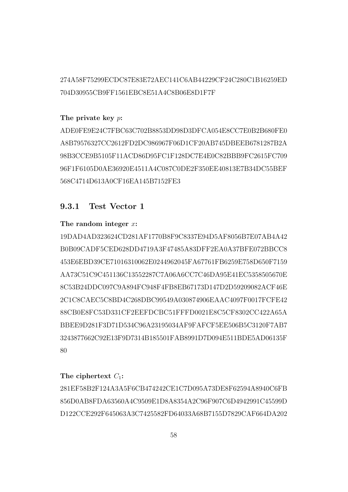274A58F75299ECDC87E83E72AEC141C6AB44229CF24C280C1B16259ED 704D30955CB9FF1561EBC8E51A4C8B06E8D1F7F

# The private key p:

ADE0FE9E24C7FBC63C702B8853DD98D3DFCA054E8CC7E0B2B680FE0 A8B79576327CC2612FD2DC986967F06D1CF20AB745DBEEB6781287B2A 98B3CCE9B5105F11ACD86D95FC1F128DC7E4E0C82BBB9FC2615FC709 96F1F6105D0AE36920E4511A4C087C0DE2F350EE40813E7B34DC55BEF 568C4714D613A0CF16EA145B7152FE3

# 9.3.1 Test Vector 1

# The random integer  $x$ :

19DAD4AD323624CD281AF1770B8F9C8337E94D5AF8056B7E07AB4A42 B0B09CADF5CED628DD4719A3F47485A83DFF2EA0A37BFE072BBCC8 453E6EBD39CE71016310062E0244962045FA67761FB6259E758D650F7159 AA73C51C9C451136C13552287C7A06A6CC7C46DA95E41EC5358505670E 8C53B24DDC097C9A894FC948F4FB8EB67173D147D2D59209082ACF46E 2C1C8CAEC5C8BD4C268DBC99549A030874906EAAC4097F0017FCFE42 88CB0E8FC53D331CF2EEFDCBC51FFFD0021E8C5CF8302CC422A65A BBEE9D281F3D71D534C96A23195034AF9FAFCF5EE506B5C3120F7AB7 3243877662C92E13F9D7314B185501FAB8991D7D094E511BDE5AD06135F 80

#### The ciphertext  $C_1$ :

281EF58B2F124A3A5F6CB474242CE1C7D095A73DE8F62594A8940C6FB 856D0AB8FDA63560A4C9509E1D8A8354A2C96F907C6D4942991C45599D D122CCE292F645063A3C7425582FD64033A68B7155D7829CAF664DA202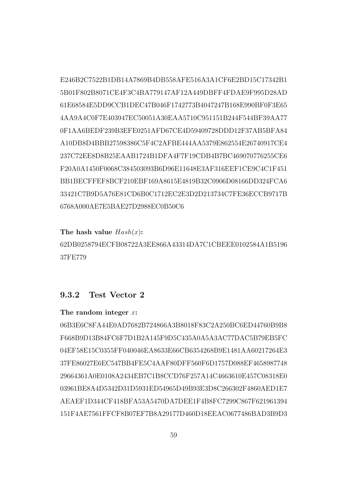E246B2C7522B1DB14A7869B4DB558AFE516A3A1CF6E2BD15C17342B1 5B01F802B8071CE4F3C4BA779147AF12A449DBFF4FDAE9F995D28AD 61E68584E5DD9CCB1DEC47B046F1742773B4047247B168E990BF0F3E65 4AA9A4C0F7E403947EC50051A30EAA5710C951151B244F544BF39AA77 0F1AA6BEDF239B3EFE0251AFD67CE4D59409728DDD12F37AB5BFA84 A10DB8D4BBB27598386C5F4C2AFBE444AA5379E862554E26740917CE4 237C72EE8D8B25EAAB1724B1DFA4F7F19CDB4B7BC469070776255CE6 F20A0A1450F0068C384503093B6D96E11648E3AF316EEF1CE9C4C1F451 BB1BECFFEF8BCF210EBF169A8615E4819B32C0906D08166DD324FCA6 33421C7B9D5A76E81CD6B0C1712EC2E3D2D213734C7FE36ECCB9717B 6768A000AE7E5BAE27D2988EC0B50C6

# The hash value  $Hash(x)$ :

62DB0258794ECFB08722A3EE866A43314DA7C1CBEEE0102584A1B5196 37FE779

# 9.3.2 Test Vector 2

### The random integer  $x$ :

06B3E6C8FA44E0AD7682B724866A3B8018F83C2A250BC6ED44760B9B8 F668B9D13B84FC6F7D1B2A145F9D5C435A0A5A3AC77DAC5B79EB5FC 04EF58E15C0355FF040046EA8633E66CB6354268B9E1481AA60217264E3 37FE86027E6EC547BB4FE5C4AAF80DFF560F6D1757D088EF4658987748 29664361A0E0108A2434EB7C1B8CCD76F257A14C4663610E457C08318E0 03961BE8A4D5342D31D5931ED54965D49B93E3D8C266302F4860AED1E7 AEAEF1D344CF418BFA53A5470DA7DEE1F4B8FC7299C867F621961394 151F4AE7561FFCF8B07EF7B8A29177D460D18EEAC0677486BAD3B9D3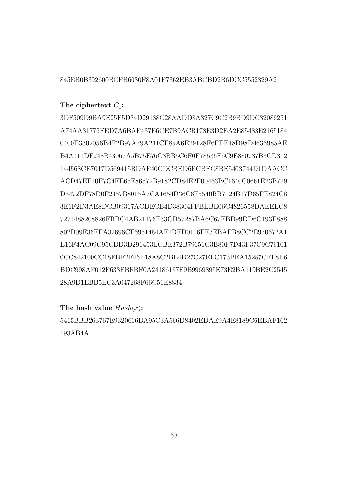# 845EB0B392600BCFB6030F8A01F7362EB3ABCBD2B6DCC5552329A2

# The ciphertext  $C_1$ :

3DF509D9BA9E25F5D34D29138C28AADD8A327C9C2B9BD9DC32089251 A74AA31775FED7A6BAF437E6CE7B9ACB178E3D2EA2E85483E2165184 0400E3302056B4F2B97A79A231CF85A6E29128F6FEE18D98D4636985AE B4A111DF248B43067A5B75E76C3BB5C6F0F78535F6C9E880737B3CD312 144568CE7017D569415BDAF40CDCBED6FCBFC8BE5403744D1DAACC ACD47EF10F7C4FE65E86572B9182CD84E2F00463BC1640C0661E23B729 D5472DF78D0F2357B8015A7CA1654D36C6F5540BB7124B17D65FE824C8 3E1F2D3AE8DCB09317ACDECB4D38304FFBEBE06C4826558DAEEEC8 7271488208826FBBC4AB21176F33CD57287BA6C67FBD99DD6C193E888 802D09F36FFA32696CF6951484AF2DFD0116FF3EBAFB8CC2E970672A1 E16F4AC09C95CBD3D291453ECBE372B79651C3B80F7D43F37C9C76101 0CC842100CC18FDF2F46E18A8C2BE4D27C27EFC173BEA15287CFF8E6 BDC998AF012F633FBFBF0A24186187F9B9969895E73E2BA119BE2C2545 28A9D1EBB5EC3A047268F66C51E8834

#### The hash value  $Hash(x)$ :

5415BBB263767E9320616BA95C3A566D8402EDAE9A4E8189C6EBAF162 193AB4A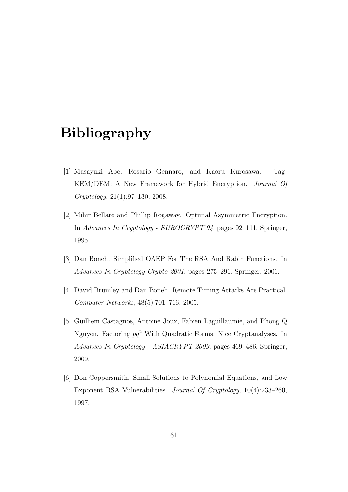# Bibliography

- <span id="page-67-1"></span>[1] Masayuki Abe, Rosario Gennaro, and Kaoru Kurosawa. Tag-KEM/DEM: A New Framework for Hybrid Encryption. Journal Of Cryptology, 21(1):97–130, 2008.
- <span id="page-67-0"></span>[2] Mihir Bellare and Phillip Rogaway. Optimal Asymmetric Encryption. In Advances In Cryptology - EUROCRYPT'94, pages 92–111. Springer, 1995.
- [3] Dan Boneh. Simplified OAEP For The RSA And Rabin Functions. In Advances In Cryptology-Crypto 2001, pages 275–291. Springer, 2001.
- [4] David Brumley and Dan Boneh. Remote Timing Attacks Are Practical. Computer Networks, 48(5):701–716, 2005.
- [5] Guilhem Castagnos, Antoine Joux, Fabien Laguillaumie, and Phong Q Nguyen. Factoring  $pq^2$  With Quadratic Forms: Nice Cryptanalyses. In Advances In Cryptology - ASIACRYPT 2009, pages 469–486. Springer, 2009.
- [6] Don Coppersmith. Small Solutions to Polynomial Equations, and Low Exponent RSA Vulnerabilities. Journal Of Cryptology, 10(4):233–260, 1997.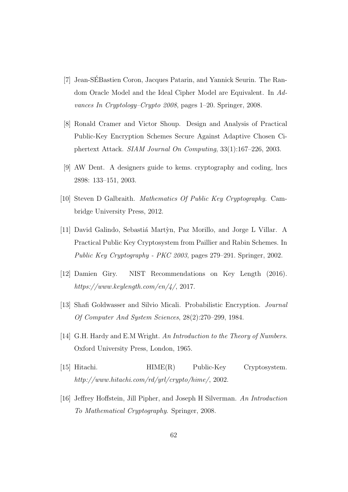- <span id="page-68-4"></span>[7] Jean-SEBastien Coron, Jacques Patarin, and Yannick Seurin. The Ran- ´ dom Oracle Model and the Ideal Cipher Model are Equivalent. In Advances In Cryptology–Crypto 2008, pages 1–20. Springer, 2008.
- <span id="page-68-3"></span>[8] Ronald Cramer and Victor Shoup. Design and Analysis of Practical Public-Key Encryption Schemes Secure Against Adaptive Chosen Ciphertext Attack. SIAM Journal On Computing, 33(1):167–226, 2003.
- <span id="page-68-0"></span>[9] AW Dent. A designers guide to kems. cryptography and coding, lncs 2898: 133–151, 2003.
- [10] Steven D Galbraith. Mathematics Of Public Key Cryptography. Cambridge University Press, 2012.
- [11] David Galindo, Sebastiá Martỳn, Paz Morillo, and Jorge L Villar. A Practical Public Key Cryptosystem from Paillier and Rabin Schemes. In Public Key Cryptography - PKC 2003, pages 279–291. Springer, 2002.
- <span id="page-68-5"></span>[12] Damien Giry. NIST Recommendations on Key Length (2016). https://www.keylength.com/en/4/, 2017.
- <span id="page-68-2"></span>[13] Shafi Goldwasser and Silvio Micali. Probabilistic Encryption. Journal Of Computer And System Sciences, 28(2):270–299, 1984.
- [14] G.H. Hardy and E.M Wright. An Introduction to the Theory of Numbers. Oxford University Press, London, 1965.
- [15] Hitachi. HIME(R) Public-Key Cryptosystem. http://www.hitachi.com/rd/yrl/crypto/hime/, 2002.
- <span id="page-68-1"></span>[16] Jeffrey Hoffstein, Jill Pipher, and Joseph H Silverman. An Introduction To Mathematical Cryptography. Springer, 2008.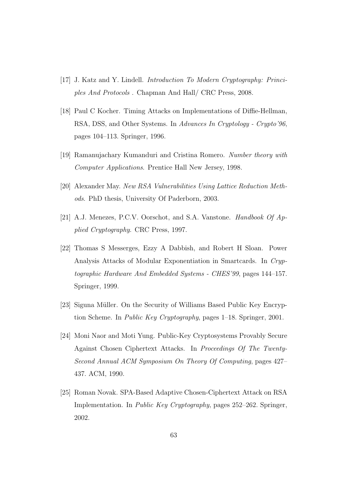- <span id="page-69-1"></span>[17] J. Katz and Y. Lindell. Introduction To Modern Cryptography: Principles And Protocols . Chapman And Hall/ CRC Press, 2008.
- [18] Paul C Kocher. Timing Attacks on Implementations of Diffie-Hellman, RSA, DSS, and Other Systems. In Advances In Cryptology - Crypto'96, pages 104–113. Springer, 1996.
- [19] Ramanujachary Kumanduri and Cristina Romero. Number theory with Computer Applications. Prentice Hall New Jersey, 1998.
- [20] Alexander May. New RSA Vulnerabilities Using Lattice Reduction Methods. PhD thesis, University Of Paderborn, 2003.
- <span id="page-69-0"></span>[21] A.J. Menezes, P.C.V. Oorschot, and S.A. Vanstone. Handbook Of Applied Cryptography. CRC Press, 1997.
- [22] Thomas S Messerges, Ezzy A Dabbish, and Robert H Sloan. Power Analysis Attacks of Modular Exponentiation in Smartcards. In Cryptographic Hardware And Embedded Systems - CHES'99, pages 144–157. Springer, 1999.
- <span id="page-69-3"></span>[23] Siguna Müller. On the Security of Williams Based Public Key Encryption Scheme. In Public Key Cryptography, pages 1-18. Springer, 2001.
- <span id="page-69-2"></span>[24] Moni Naor and Moti Yung. Public-Key Cryptosystems Provably Secure Against Chosen Ciphertext Attacks. In Proceedings Of The Twenty-Second Annual ACM Symposium On Theory Of Computing, pages 427– 437. ACM, 1990.
- [25] Roman Novak. SPA-Based Adaptive Chosen-Ciphertext Attack on RSA Implementation. In Public Key Cryptography, pages 252–262. Springer, 2002.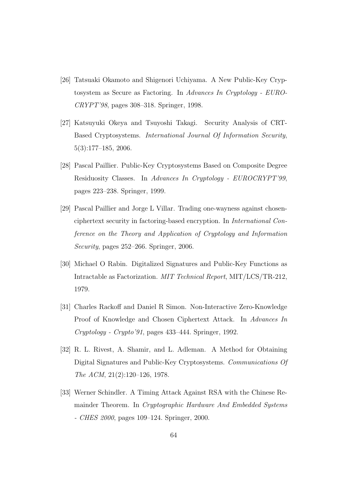- [26] Tatsuaki Okamoto and Shigenori Uchiyama. A New Public-Key Cryptosystem as Secure as Factoring. In Advances In Cryptology - EURO-CRYPT'98, pages 308–318. Springer, 1998.
- [27] Katsuyuki Okeya and Tsuyoshi Takagi. Security Analysis of CRT-Based Cryptosystems. International Journal Of Information Security, 5(3):177–185, 2006.
- [28] Pascal Paillier. Public-Key Cryptosystems Based on Composite Degree Residuosity Classes. In Advances In Cryptology - EUROCRYPT'99, pages 223–238. Springer, 1999.
- <span id="page-70-2"></span>[29] Pascal Paillier and Jorge L Villar. Trading one-wayness against chosenciphertext security in factoring-based encryption. In International Conference on the Theory and Application of Cryptology and Information Security, pages 252–266. Springer, 2006.
- <span id="page-70-1"></span>[30] Michael O Rabin. Digitalized Signatures and Public-Key Functions as Intractable as Factorization. MIT Technical Report, MIT/LCS/TR-212, 1979.
- <span id="page-70-0"></span>[31] Charles Rackoff and Daniel R Simon. Non-Interactive Zero-Knowledge Proof of Knowledge and Chosen Ciphertext Attack. In Advances In Cryptology - Crypto'91, pages 433–444. Springer, 1992.
- [32] R. L. Rivest, A. Shamir, and L. Adleman. A Method for Obtaining Digital Signatures and Public-Key Cryptosystems. Communications Of The ACM, 21(2):120–126, 1978.
- [33] Werner Schindler. A Timing Attack Against RSA with the Chinese Remainder Theorem. In Cryptographic Hardware And Embedded Systems - CHES 2000, pages 109–124. Springer, 2000.